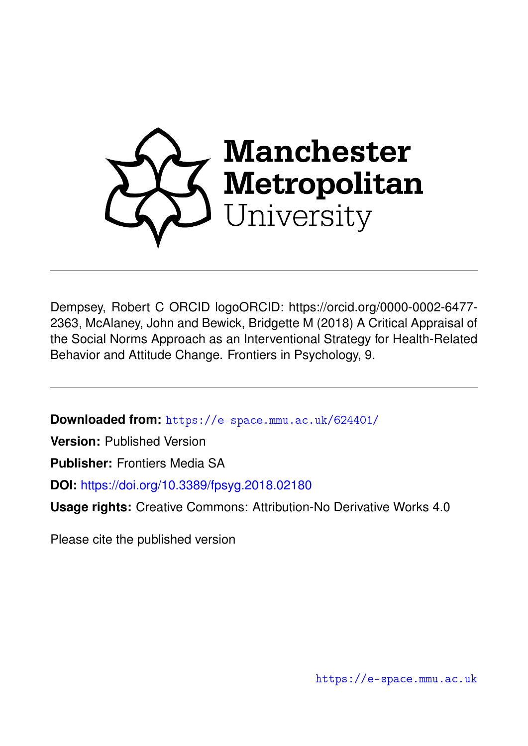

Dempsey, Robert C ORCID logoORCID: https://orcid.org/0000-0002-6477- 2363, McAlaney, John and Bewick, Bridgette M (2018) A Critical Appraisal of the Social Norms Approach as an Interventional Strategy for Health-Related Behavior and Attitude Change. Frontiers in Psychology, 9.

**Downloaded from:** <https://e-space.mmu.ac.uk/624401/>

**Version:** Published Version

**Publisher:** Frontiers Media SA

**DOI:** <https://doi.org/10.3389/fpsyg.2018.02180>

**Usage rights:** Creative Commons: Attribution-No Derivative Works 4.0

Please cite the published version

<https://e-space.mmu.ac.uk>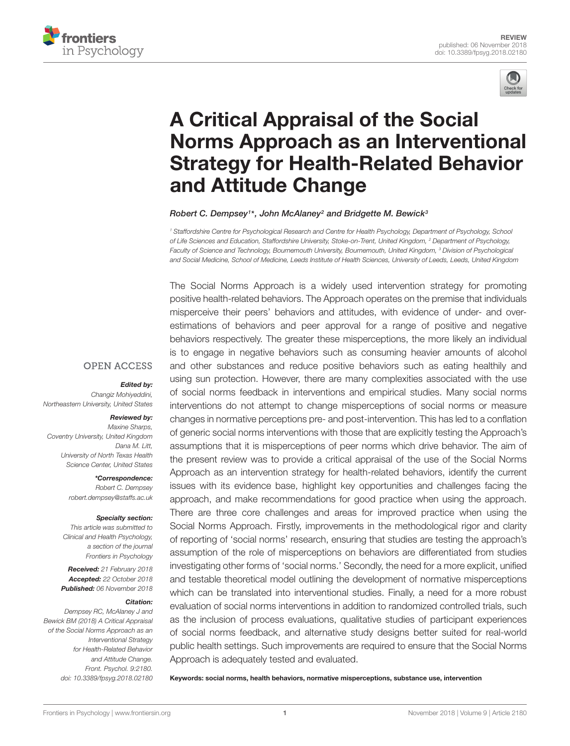



# A Critical Appraisal of the Social [Norms Approach as an Interventional](https://www.frontiersin.org/articles/10.3389/fpsyg.2018.02180/full) Strategy for Health-Related Behavior and Attitude Change

#### [Robert C. Dempsey](http://loop.frontiersin.org/people/464301/overview)1\*, [John McAlaney](http://loop.frontiersin.org/people/260492/overview)<sup>2</sup> and [Bridgette M. Bewick](http://loop.frontiersin.org/people/576593/overview)<sup>3</sup>

<sup>1</sup> Staffordshire Centre for Psychological Research and Centre for Health Psychology, Department of Psychology, School of Life Sciences and Education, Staffordshire University, Stoke-on-Trent, United Kingdom, <sup>2</sup> Department of Psychology, Faculty of Science and Technology, Bournemouth University, Bournemouth, United Kingdom, <sup>3</sup> Division of Psychological and Social Medicine, School of Medicine, Leeds Institute of Health Sciences, University of Leeds, Leeds, United Kingdom

The Social Norms Approach is a widely used intervention strategy for promoting positive health-related behaviors. The Approach operates on the premise that individuals misperceive their peers' behaviors and attitudes, with evidence of under- and overestimations of behaviors and peer approval for a range of positive and negative behaviors respectively. The greater these misperceptions, the more likely an individual is to engage in negative behaviors such as consuming heavier amounts of alcohol and other substances and reduce positive behaviors such as eating healthily and using sun protection. However, there are many complexities associated with the use of social norms feedback in interventions and empirical studies. Many social norms interventions do not attempt to change misperceptions of social norms or measure changes in normative perceptions pre- and post-intervention. This has led to a conflation of generic social norms interventions with those that are explicitly testing the Approach's assumptions that it is misperceptions of peer norms which drive behavior. The aim of the present review was to provide a critical appraisal of the use of the Social Norms Approach as an intervention strategy for health-related behaviors, identify the current issues with its evidence base, highlight key opportunities and challenges facing the approach, and make recommendations for good practice when using the approach. There are three core challenges and areas for improved practice when using the Social Norms Approach. Firstly, improvements in the methodological rigor and clarity of reporting of 'social norms' research, ensuring that studies are testing the approach's assumption of the role of misperceptions on behaviors are differentiated from studies investigating other forms of 'social norms.' Secondly, the need for a more explicit, unified and testable theoretical model outlining the development of normative misperceptions which can be translated into interventional studies. Finally, a need for a more robust evaluation of social norms interventions in addition to randomized controlled trials, such as the inclusion of process evaluations, qualitative studies of participant experiences of social norms feedback, and alternative study designs better suited for real-world public health settings. Such improvements are required to ensure that the Social Norms Approach is adequately tested and evaluated.

#### **OPEN ACCESS**

#### Edited by:

Changiz Mohiyeddini, Northeastern University, United States

#### Reviewed by:

Maxine Sharps, Coventry University, United Kingdom Dana M. Litt University of North Texas Health Science Center, United States

> \*Correspondence: Robert C. Dempsey robert.dempsey@staffs.ac.uk

#### Specialty section:

This article was submitted to Clinical and Health Psychology, a section of the journal Frontiers in Psychology

Received: 21 February 2018 Accepted: 22 October 2018 Published: 06 November 2018

#### Citation:

Dempsey RC, McAlaney J and Bewick BM (2018) A Critical Appraisal of the Social Norms Approach as an Interventional Strategy for Health-Related Behavior and Attitude Change. Front. Psychol. 9:2180. doi: [10.3389/fpsyg.2018.02180](https://doi.org/10.3389/fpsyg.2018.02180)

Keywords: social norms, health behaviors, normative misperceptions, substance use, intervention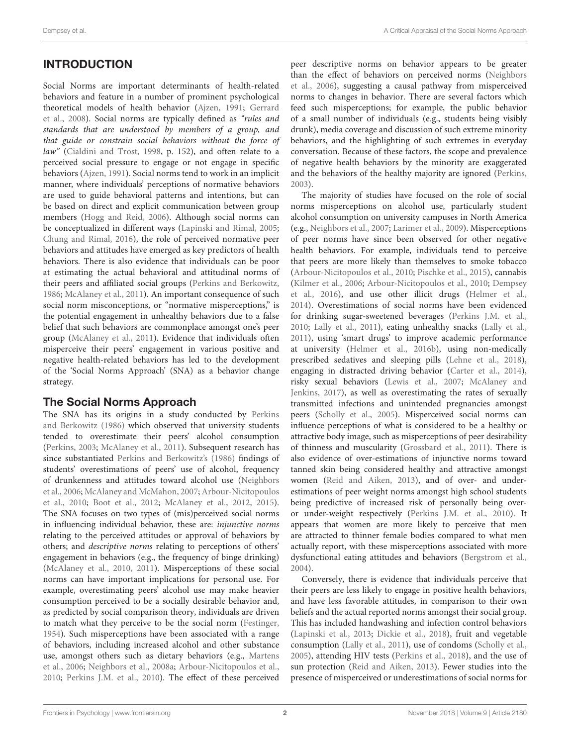# **INTRODUCTION**

Social Norms are important determinants of health-related behaviors and feature in a number of prominent psychological theoretical models of health behavior [\(Ajzen,](#page-13-0) [1991;](#page-13-0) [Gerrard](#page-13-1) [et al.,](#page-13-1) [2008\)](#page-13-1). Social norms are typically defined as "rules and standards that are understood by members of a group, and that guide or constrain social behaviors without the force of law" [\(Cialdini and Trost,](#page-13-2) [1998,](#page-13-2) p. 152), and often relate to a perceived social pressure to engage or not engage in specific behaviors [\(Ajzen,](#page-13-0) [1991\)](#page-13-0). Social norms tend to work in an implicit manner, where individuals' perceptions of normative behaviors are used to guide behavioral patterns and intentions, but can be based on direct and explicit communication between group members [\(Hogg and Reid,](#page-14-0) [2006\)](#page-14-0). Although social norms can be conceptualized in different ways [\(Lapinski and Rimal,](#page-14-1) [2005;](#page-14-1) [Chung and Rimal,](#page-13-3) [2016\)](#page-13-3), the role of perceived normative peer behaviors and attitudes have emerged as key predictors of health behaviors. There is also evidence that individuals can be poor at estimating the actual behavioral and attitudinal norms of their peers and affiliated social groups [\(Perkins and Berkowitz,](#page-16-0) [1986;](#page-16-0) [McAlaney et al.,](#page-15-0) [2011\)](#page-15-0). An important consequence of such social norm misconceptions, or "normative misperceptions," is the potential engagement in unhealthy behaviors due to a false belief that such behaviors are commonplace amongst one's peer group [\(McAlaney et al.,](#page-15-0) [2011\)](#page-15-0). Evidence that individuals often misperceive their peers' engagement in various positive and negative health-related behaviors has led to the development of the 'Social Norms Approach' (SNA) as a behavior change strategy.

#### The Social Norms Approach

The SNA has its origins in a study conducted by [Perkins](#page-16-0) [and Berkowitz](#page-16-0) [\(1986\)](#page-16-0) which observed that university students tended to overestimate their peers' alcohol consumption [\(Perkins,](#page-15-1) [2003;](#page-15-1) [McAlaney et al.,](#page-15-0) [2011\)](#page-15-0). Subsequent research has since substantiated [Perkins and Berkowitz'](#page-16-0)s [\(1986\)](#page-16-0) findings of students' overestimations of peers' use of alcohol, frequency of drunkenness and attitudes toward alcohol use [\(Neighbors](#page-15-2) [et al.,](#page-15-2) [2006;](#page-15-2) [McAlaney and McMahon,](#page-15-3) [2007;](#page-15-3) [Arbour-Nicitopoulos](#page-13-4) [et al.,](#page-13-4) [2010;](#page-13-4) [Boot et al.,](#page-13-5) [2012;](#page-13-5) [McAlaney et al.,](#page-15-4) [2012,](#page-15-4) [2015\)](#page-15-5). The SNA focuses on two types of (mis)perceived social norms in influencing individual behavior, these are: injunctive norms relating to the perceived attitudes or approval of behaviors by others; and descriptive norms relating to perceptions of others' engagement in behaviors (e.g., the frequency of binge drinking) [\(McAlaney et al.,](#page-15-6) [2010,](#page-15-6) [2011\)](#page-15-0). Misperceptions of these social norms can have important implications for personal use. For example, overestimating peers' alcohol use may make heavier consumption perceived to be a socially desirable behavior and, as predicted by social comparison theory, individuals are driven to match what they perceive to be the social norm [\(Festinger,](#page-13-6) [1954\)](#page-13-6). Such misperceptions have been associated with a range of behaviors, including increased alcohol and other substance use, amongst others such as dietary behaviors (e.g., [Martens](#page-15-7) [et al.,](#page-15-7) [2006;](#page-15-7) [Neighbors et al.,](#page-15-8) [2008a;](#page-15-8) [Arbour-Nicitopoulos et al.,](#page-13-4) [2010;](#page-13-4) [Perkins J.M. et al.,](#page-16-1) [2010\)](#page-16-1). The effect of these perceived

peer descriptive norms on behavior appears to be greater than the effect of behaviors on perceived norms [\(Neighbors](#page-15-2) [et al.,](#page-15-2) [2006\)](#page-15-2), suggesting a causal pathway from misperceived norms to changes in behavior. There are several factors which feed such misperceptions; for example, the public behavior of a small number of individuals (e.g., students being visibly drunk), media coverage and discussion of such extreme minority behaviors, and the highlighting of such extremes in everyday conversation. Because of these factors, the scope and prevalence of negative health behaviors by the minority are exaggerated and the behaviors of the healthy majority are ignored [\(Perkins,](#page-15-1) [2003\)](#page-15-1).

The majority of studies have focused on the role of social norms misperceptions on alcohol use, particularly student alcohol consumption on university campuses in North America (e.g., [Neighbors et al.,](#page-15-9) [2007;](#page-15-9) [Larimer et al.,](#page-14-2) [2009\)](#page-14-2). Misperceptions of peer norms have since been observed for other negative health behaviors. For example, individuals tend to perceive that peers are more likely than themselves to smoke tobacco [\(Arbour-Nicitopoulos et al.,](#page-13-4) [2010;](#page-13-4) [Pischke et al.,](#page-16-2) [2015\)](#page-16-2), cannabis [\(Kilmer et al.,](#page-14-3) [2006;](#page-14-3) [Arbour-Nicitopoulos et al.,](#page-13-4) [2010;](#page-13-4) [Dempsey](#page-13-7) [et al.,](#page-13-7) [2016\)](#page-13-7), and use other illicit drugs [\(Helmer et al.,](#page-14-4) [2014\)](#page-14-4). Overestimations of social norms have been evidenced for drinking sugar-sweetened beverages [\(Perkins J.M. et al.,](#page-16-1) [2010;](#page-16-1) [Lally et al.,](#page-14-5) [2011\)](#page-14-5), eating unhealthy snacks [\(Lally et al.,](#page-14-5) [2011\)](#page-14-5), using 'smart drugs' to improve academic performance at university [\(Helmer et al.,](#page-14-6) [2016b\)](#page-14-6), using non-medically prescribed sedatives and sleeping pills [\(Lehne et al.,](#page-14-7) [2018\)](#page-14-7), engaging in distracted driving behavior [\(Carter et al.,](#page-13-8) [2014\)](#page-13-8), risky sexual behaviors [\(Lewis et al.,](#page-14-8) [2007;](#page-14-8) [McAlaney and](#page-15-10) [Jenkins,](#page-15-10) [2017\)](#page-15-10), as well as overestimating the rates of sexually transmitted infections and unintended pregnancies amongst peers [\(Scholly et al.,](#page-16-3) [2005\)](#page-16-3). Misperceived social norms can influence perceptions of what is considered to be a healthy or attractive body image, such as misperceptions of peer desirability of thinness and muscularity [\(Grossbard et al.,](#page-13-9) [2011\)](#page-13-9). There is also evidence of over-estimations of injunctive norms toward tanned skin being considered healthy and attractive amongst women [\(Reid and Aiken,](#page-16-4) [2013\)](#page-16-4), and of over- and underestimations of peer weight norms amongst high school students being predictive of increased risk of personally being overor under-weight respectively [\(Perkins J.M. et al.,](#page-16-1) [2010\)](#page-16-1). It appears that women are more likely to perceive that men are attracted to thinner female bodies compared to what men actually report, with these misperceptions associated with more dysfunctional eating attitudes and behaviors [\(Bergstrom et al.,](#page-13-10) [2004\)](#page-13-10).

Conversely, there is evidence that individuals perceive that their peers are less likely to engage in positive health behaviors, and have less favorable attitudes, in comparison to their own beliefs and the actual reported norms amongst their social group. This has included handwashing and infection control behaviors [\(Lapinski et al.,](#page-14-9) [2013;](#page-14-9) [Dickie et al.,](#page-13-11) [2018\)](#page-13-11), fruit and vegetable consumption [\(Lally et al.,](#page-14-5) [2011\)](#page-14-5), use of condoms [\(Scholly et al.,](#page-16-3) [2005\)](#page-16-3), attending HIV tests [\(Perkins et al.,](#page-16-5) [2018\)](#page-16-5), and the use of sun protection [\(Reid and Aiken,](#page-16-4) [2013\)](#page-16-4). Fewer studies into the presence of misperceived or underestimations of social norms for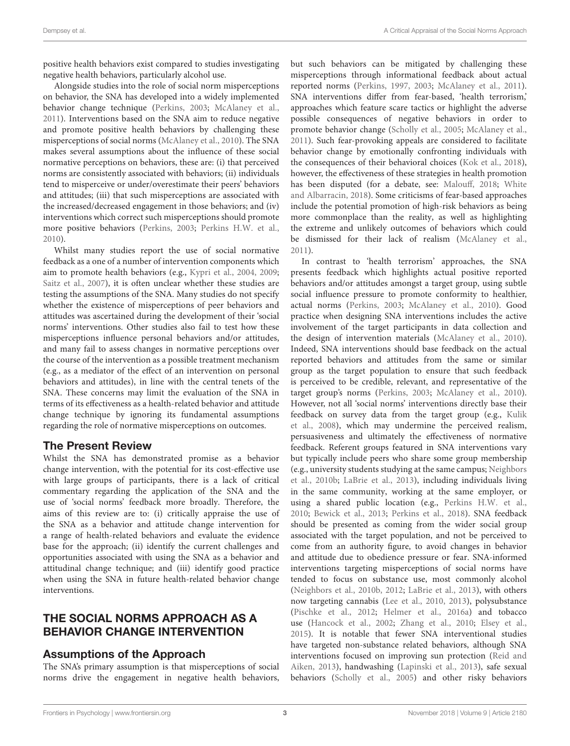positive health behaviors exist compared to studies investigating negative health behaviors, particularly alcohol use.

Alongside studies into the role of social norm misperceptions on behavior, the SNA has developed into a widely implemented behavior change technique [\(Perkins,](#page-15-1) [2003;](#page-15-1) [McAlaney et al.,](#page-15-0) [2011\)](#page-15-0). Interventions based on the SNA aim to reduce negative and promote positive health behaviors by challenging these misperceptions of social norms [\(McAlaney et al.,](#page-15-6) [2010\)](#page-15-6). The SNA makes several assumptions about the influence of these social normative perceptions on behaviors, these are: (i) that perceived norms are consistently associated with behaviors; (ii) individuals tend to misperceive or under/overestimate their peers' behaviors and attitudes; (iii) that such misperceptions are associated with the increased/decreased engagement in those behaviors; and (iv) interventions which correct such misperceptions should promote more positive behaviors [\(Perkins,](#page-15-1) [2003;](#page-15-1) [Perkins H.W. et al.,](#page-16-6) [2010\)](#page-16-6).

Whilst many studies report the use of social normative feedback as a one of a number of intervention components which aim to promote health behaviors (e.g., [Kypri et al.,](#page-14-10) [2004,](#page-14-10) [2009;](#page-14-11) [Saitz et al.,](#page-16-7) [2007\)](#page-16-7), it is often unclear whether these studies are testing the assumptions of the SNA. Many studies do not specify whether the existence of misperceptions of peer behaviors and attitudes was ascertained during the development of their 'social norms' interventions. Other studies also fail to test how these misperceptions influence personal behaviors and/or attitudes, and many fail to assess changes in normative perceptions over the course of the intervention as a possible treatment mechanism (e.g., as a mediator of the effect of an intervention on personal behaviors and attitudes), in line with the central tenets of the SNA. These concerns may limit the evaluation of the SNA in terms of its effectiveness as a health-related behavior and attitude change technique by ignoring its fundamental assumptions regarding the role of normative misperceptions on outcomes.

#### The Present Review

Whilst the SNA has demonstrated promise as a behavior change intervention, with the potential for its cost-effective use with large groups of participants, there is a lack of critical commentary regarding the application of the SNA and the use of 'social norms' feedback more broadly. Therefore, the aims of this review are to: (i) critically appraise the use of the SNA as a behavior and attitude change intervention for a range of health-related behaviors and evaluate the evidence base for the approach; (ii) identify the current challenges and opportunities associated with using the SNA as a behavior and attitudinal change technique; and (iii) identify good practice when using the SNA in future health-related behavior change interventions.

#### THE SOCIAL NORMS APPROACH AS A BEHAVIOR CHANGE INTERVENTION

#### Assumptions of the Approach

The SNA's primary assumption is that misperceptions of social norms drive the engagement in negative health behaviors, but such behaviors can be mitigated by challenging these misperceptions through informational feedback about actual reported norms [\(Perkins,](#page-15-11) [1997,](#page-15-11) [2003;](#page-15-1) [McAlaney et al.,](#page-15-0) [2011\)](#page-15-0). SNA interventions differ from fear-based, 'health terrorism,' approaches which feature scare tactics or highlight the adverse possible consequences of negative behaviors in order to promote behavior change [\(Scholly et al.,](#page-16-3) [2005;](#page-16-3) [McAlaney et al.,](#page-15-0) [2011\)](#page-15-0). Such fear-provoking appeals are considered to facilitate behavior change by emotionally confronting individuals with the consequences of their behavioral choices [\(Kok et al.,](#page-14-12) [2018\)](#page-14-12), however, the effectiveness of these strategies in health promotion has been disputed (for a debate, see: [Malouff,](#page-15-12) [2018;](#page-15-12) [White](#page-16-8) [and Albarracin,](#page-16-8) [2018\)](#page-16-8). Some criticisms of fear-based approaches include the potential promotion of high-risk behaviors as being more commonplace than the reality, as well as highlighting the extreme and unlikely outcomes of behaviors which could be dismissed for their lack of realism [\(McAlaney et al.,](#page-15-0) [2011\)](#page-15-0).

In contrast to 'health terrorism' approaches, the SNA presents feedback which highlights actual positive reported behaviors and/or attitudes amongst a target group, using subtle social influence pressure to promote conformity to healthier, actual norms [\(Perkins,](#page-15-1) [2003;](#page-15-1) [McAlaney et al.,](#page-15-6) [2010\)](#page-15-6). Good practice when designing SNA interventions includes the active involvement of the target participants in data collection and the design of intervention materials [\(McAlaney et al.,](#page-15-6) [2010\)](#page-15-6). Indeed, SNA interventions should base feedback on the actual reported behaviors and attitudes from the same or similar group as the target population to ensure that such feedback is perceived to be credible, relevant, and representative of the target group's norms [\(Perkins,](#page-15-1) [2003;](#page-15-1) [McAlaney et al.,](#page-15-6) [2010\)](#page-15-6). However, not all 'social norms' interventions directly base their feedback on survey data from the target group (e.g., [Kulik](#page-14-13) [et al.,](#page-14-13) [2008\)](#page-14-13), which may undermine the perceived realism, persuasiveness and ultimately the effectiveness of normative feedback. Referent groups featured in SNA interventions vary but typically include peers who share some group membership (e.g., university students studying at the same campus; [Neighbors](#page-15-13) [et al.,](#page-15-13) [2010b;](#page-15-13) [LaBrie et al.,](#page-14-14) [2013\)](#page-14-14), including individuals living in the same community, working at the same employer, or using a shared public location (e.g., [Perkins H.W. et al.,](#page-16-6) [2010;](#page-16-6) [Bewick et al.,](#page-13-12) [2013;](#page-13-12) [Perkins et al.,](#page-16-5) [2018\)](#page-16-5). SNA feedback should be presented as coming from the wider social group associated with the target population, and not be perceived to come from an authority figure, to avoid changes in behavior and attitude due to obedience pressure or fear. SNA-informed interventions targeting misperceptions of social norms have tended to focus on substance use, most commonly alcohol [\(Neighbors et al.,](#page-15-13) [2010b,](#page-15-13) [2012;](#page-15-14) [LaBrie et al.,](#page-14-14) [2013\)](#page-14-14), with others now targeting cannabis [\(Lee et al.,](#page-14-15) [2010,](#page-14-15) [2013\)](#page-14-16), polysubstance [\(Pischke et al.,](#page-16-9) [2012;](#page-16-9) [Helmer et al.,](#page-14-17) [2016a\)](#page-14-17) and tobacco use [\(Hancock et al.,](#page-14-18) [2002;](#page-14-18) [Zhang et al.,](#page-16-10) [2010;](#page-16-10) [Elsey et al.,](#page-13-13) [2015\)](#page-13-13). It is notable that fewer SNA interventional studies have targeted non-substance related behaviors, although SNA interventions focused on improving sun protection [\(Reid and](#page-16-4) [Aiken,](#page-16-4) [2013\)](#page-16-4), handwashing [\(Lapinski et al.,](#page-14-9) [2013\)](#page-14-9), safe sexual behaviors [\(Scholly et al.,](#page-16-3) [2005\)](#page-16-3) and other risky behaviors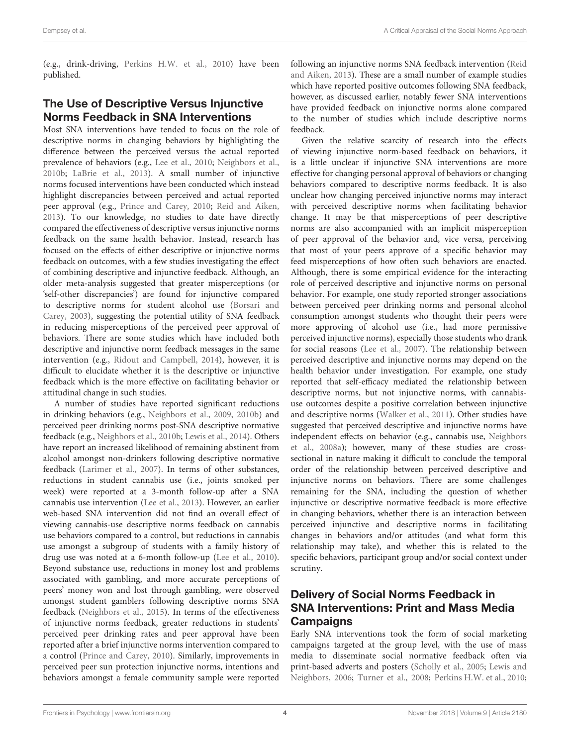(e.g., drink-driving, [Perkins H.W. et al.,](#page-16-6) [2010\)](#page-16-6) have been published.

### The Use of Descriptive Versus Injunctive Norms Feedback in SNA Interventions

Most SNA interventions have tended to focus on the role of descriptive norms in changing behaviors by highlighting the difference between the perceived versus the actual reported prevalence of behaviors (e.g., [Lee et al.,](#page-14-15) [2010;](#page-14-15) [Neighbors et al.,](#page-15-13) [2010b;](#page-15-13) [LaBrie et al.,](#page-14-14) [2013\)](#page-14-14). A small number of injunctive norms focused interventions have been conducted which instead highlight discrepancies between perceived and actual reported peer approval (e.g., [Prince and Carey,](#page-16-11) [2010;](#page-16-11) [Reid and Aiken,](#page-16-4) [2013\)](#page-16-4). To our knowledge, no studies to date have directly compared the effectiveness of descriptive versus injunctive norms feedback on the same health behavior. Instead, research has focused on the effects of either descriptive or injunctive norms feedback on outcomes, with a few studies investigating the effect of combining descriptive and injunctive feedback. Although, an older meta-analysis suggested that greater misperceptions (or 'self-other discrepancies') are found for injunctive compared to descriptive norms for student alcohol use [\(Borsari and](#page-13-14) [Carey,](#page-13-14) [2003\)](#page-13-14), suggesting the potential utility of SNA feedback in reducing misperceptions of the perceived peer approval of behaviors. There are some studies which have included both descriptive and injunctive norm feedback messages in the same intervention (e.g., [Ridout and Campbell,](#page-16-12) [2014\)](#page-16-12), however, it is difficult to elucidate whether it is the descriptive or injunctive feedback which is the more effective on facilitating behavior or attitudinal change in such studies.

A number of studies have reported significant reductions in drinking behaviors (e.g., [Neighbors et al.,](#page-15-15) [2009,](#page-15-15) [2010b\)](#page-15-13) and perceived peer drinking norms post-SNA descriptive normative feedback (e.g., [Neighbors et al.,](#page-15-13) [2010b;](#page-15-13) [Lewis et al.,](#page-14-19) [2014\)](#page-14-19). Others have report an increased likelihood of remaining abstinent from alcohol amongst non-drinkers following descriptive normative feedback [\(Larimer et al.,](#page-14-20) [2007\)](#page-14-20). In terms of other substances, reductions in student cannabis use (i.e., joints smoked per week) were reported at a 3-month follow-up after a SNA cannabis use intervention [\(Lee et al.,](#page-14-16) [2013\)](#page-14-16). However, an earlier web-based SNA intervention did not find an overall effect of viewing cannabis-use descriptive norms feedback on cannabis use behaviors compared to a control, but reductions in cannabis use amongst a subgroup of students with a family history of drug use was noted at a 6-month follow-up [\(Lee et al.,](#page-14-15) [2010\)](#page-14-15). Beyond substance use, reductions in money lost and problems associated with gambling, and more accurate perceptions of peers' money won and lost through gambling, were observed amongst student gamblers following descriptive norms SNA feedback [\(Neighbors et al.,](#page-15-16) [2015\)](#page-15-16). In terms of the effectiveness of injunctive norms feedback, greater reductions in students' perceived peer drinking rates and peer approval have been reported after a brief injunctive norms intervention compared to a control [\(Prince and Carey,](#page-16-11) [2010\)](#page-16-11). Similarly, improvements in perceived peer sun protection injunctive norms, intentions and behaviors amongst a female community sample were reported

following an injunctive norms SNA feedback intervention [\(Reid](#page-16-4) [and Aiken,](#page-16-4) [2013\)](#page-16-4). These are a small number of example studies which have reported positive outcomes following SNA feedback, however, as discussed earlier, notably fewer SNA interventions have provided feedback on injunctive norms alone compared to the number of studies which include descriptive norms feedback.

Given the relative scarcity of research into the effects of viewing injunctive norm-based feedback on behaviors, it is a little unclear if injunctive SNA interventions are more effective for changing personal approval of behaviors or changing behaviors compared to descriptive norms feedback. It is also unclear how changing perceived injunctive norms may interact with perceived descriptive norms when facilitating behavior change. It may be that misperceptions of peer descriptive norms are also accompanied with an implicit misperception of peer approval of the behavior and, vice versa, perceiving that most of your peers approve of a specific behavior may feed misperceptions of how often such behaviors are enacted. Although, there is some empirical evidence for the interacting role of perceived descriptive and injunctive norms on personal behavior. For example, one study reported stronger associations between perceived peer drinking norms and personal alcohol consumption amongst students who thought their peers were more approving of alcohol use (i.e., had more permissive perceived injunctive norms), especially those students who drank for social reasons [\(Lee et al.,](#page-14-21) [2007\)](#page-14-21). The relationship between perceived descriptive and injunctive norms may depend on the health behavior under investigation. For example, one study reported that self-efficacy mediated the relationship between descriptive norms, but not injunctive norms, with cannabisuse outcomes despite a positive correlation between injunctive and descriptive norms [\(Walker et al.,](#page-16-13) [2011\)](#page-16-13). Other studies have suggested that perceived descriptive and injunctive norms have independent effects on behavior (e.g., cannabis use, [Neighbors](#page-15-8) [et al.,](#page-15-8) [2008a\)](#page-15-8); however, many of these studies are crosssectional in nature making it difficult to conclude the temporal order of the relationship between perceived descriptive and injunctive norms on behaviors. There are some challenges remaining for the SNA, including the question of whether injunctive or descriptive normative feedback is more effective in changing behaviors, whether there is an interaction between perceived injunctive and descriptive norms in facilitating changes in behaviors and/or attitudes (and what form this relationship may take), and whether this is related to the specific behaviors, participant group and/or social context under scrutiny.

#### Delivery of Social Norms Feedback in SNA Interventions: Print and Mass Media **Campaigns**

Early SNA interventions took the form of social marketing campaigns targeted at the group level, with the use of mass media to disseminate social normative feedback often via print-based adverts and posters [\(Scholly et al.,](#page-16-3) [2005;](#page-16-3) [Lewis and](#page-14-22) [Neighbors,](#page-14-22) [2006;](#page-14-22) [Turner et al.,](#page-16-14) [2008;](#page-16-14) [Perkins H.W. et al.,](#page-16-6) [2010;](#page-16-6)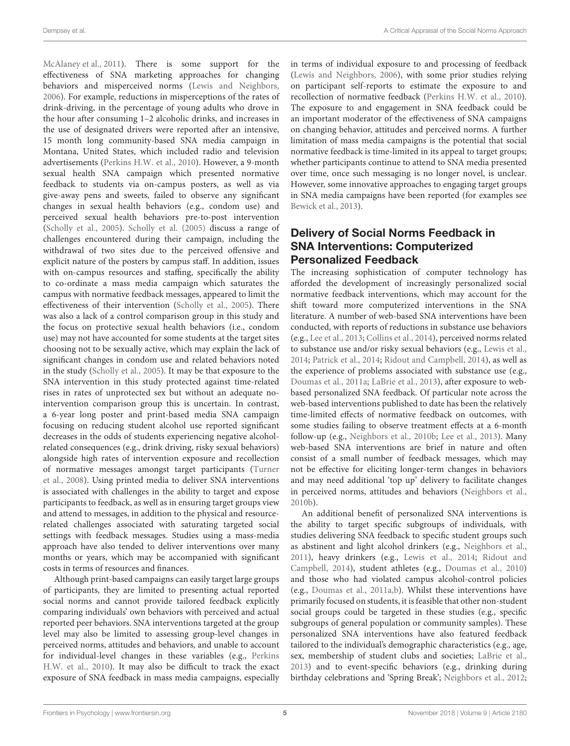[McAlaney et al.,](#page-15-0) [2011\)](#page-15-0). There is some support for the effectiveness of SNA marketing approaches for changing behaviors and misperceived norms [\(Lewis and Neighbors,](#page-14-22) [2006\)](#page-14-22). For example, reductions in misperceptions of the rates of drink-driving, in the percentage of young adults who drove in the hour after consuming 1–2 alcoholic drinks, and increases in the use of designated drivers were reported after an intensive, 15 month long community-based SNA media campaign in Montana, United States, which included radio and television advertisements [\(Perkins H.W. et al.,](#page-16-6) [2010\)](#page-16-6). However, a 9-month sexual health SNA campaign which presented normative feedback to students via on-campus posters, as well as via give-away pens and sweets, failed to observe any significant changes in sexual health behaviors (e.g., condom use) and perceived sexual health behaviors pre-to-post intervention [\(Scholly et al.,](#page-16-3) [2005\)](#page-16-3). [Scholly et al.](#page-16-3) [\(2005\)](#page-16-3) discuss a range of challenges encountered during their campaign, including the withdrawal of two sites due to the perceived offensive and explicit nature of the posters by campus staff. In addition, issues with on-campus resources and staffing, specifically the ability to co-ordinate a mass media campaign which saturates the campus with normative feedback messages, appeared to limit the effectiveness of their intervention [\(Scholly et al.,](#page-16-3) [2005\)](#page-16-3). There was also a lack of a control comparison group in this study and the focus on protective sexual health behaviors (i.e., condom use) may not have accounted for some students at the target sites choosing not to be sexually active, which may explain the lack of significant changes in condom use and related behaviors noted in the study [\(Scholly et al.,](#page-16-3) [2005\)](#page-16-3). It may be that exposure to the SNA intervention in this study protected against time-related rises in rates of unprotected sex but without an adequate nointervention comparison group this is uncertain. In contrast, a 6-year long poster and print-based media SNA campaign focusing on reducing student alcohol use reported significant decreases in the odds of students experiencing negative alcoholrelated consequences (e.g., drink driving, risky sexual behaviors) alongside high rates of intervention exposure and recollection of normative messages amongst target participants [\(Turner](#page-16-14) [et al.,](#page-16-14) [2008\)](#page-16-14). Using printed media to deliver SNA interventions is associated with challenges in the ability to target and expose participants to feedback, as well as in ensuring target groups view and attend to messages, in addition to the physical and resourcerelated challenges associated with saturating targeted social settings with feedback messages. Studies using a mass-media approach have also tended to deliver interventions over many months or years, which may be accompanied with significant costs in terms of resources and finances.

Although print-based campaigns can easily target large groups of participants, they are limited to presenting actual reported social norms and cannot provide tailored feedback explicitly comparing individuals' own behaviors with perceived and actual reported peer behaviors. SNA interventions targeted at the group level may also be limited to assessing group-level changes in perceived norms, attitudes and behaviors, and unable to account for individual-level changes in these variables (e.g., [Perkins](#page-16-6) [H.W. et al.,](#page-16-6) [2010\)](#page-16-6). It may also be difficult to track the exact exposure of SNA feedback in mass media campaigns, especially in terms of individual exposure to and processing of feedback [\(Lewis and Neighbors,](#page-14-22) [2006\)](#page-14-22), with some prior studies relying on participant self-reports to estimate the exposure to and recollection of normative feedback [\(Perkins H.W. et al.,](#page-16-6) [2010\)](#page-16-6). The exposure to and engagement in SNA feedback could be an important moderator of the effectiveness of SNA campaigns on changing behavior, attitudes and perceived norms. A further limitation of mass media campaigns is the potential that social normative feedback is time-limited in its appeal to target groups; whether participants continue to attend to SNA media presented over time, once such messaging is no longer novel, is unclear. However, some innovative approaches to engaging target groups in SNA media campaigns have been reported (for examples see [Bewick et al.,](#page-13-12) [2013\)](#page-13-12).

# Delivery of Social Norms Feedback in SNA Interventions: Computerized Personalized Feedback

The increasing sophistication of computer technology has afforded the development of increasingly personalized social normative feedback interventions, which may account for the shift toward more computerized interventions in the SNA literature. A number of web-based SNA interventions have been conducted, with reports of reductions in substance use behaviors (e.g., [Lee et al.,](#page-14-16) [2013;](#page-14-16) [Collins et al.,](#page-13-15) [2014\)](#page-13-15), perceived norms related to substance use and/or risky sexual behaviors (e.g., [Lewis et al.,](#page-14-19) [2014;](#page-14-19) [Patrick et al.,](#page-15-17) [2014;](#page-15-17) [Ridout and Campbell,](#page-16-12) [2014\)](#page-16-12), as well as the experience of problems associated with substance use (e.g., [Doumas et al.,](#page-13-16) [2011a;](#page-13-16) [LaBrie et al.,](#page-14-14) [2013\)](#page-14-14), after exposure to webbased personalized SNA feedback. Of particular note across the web-based interventions published to date has been the relatively time-limited effects of normative feedback on outcomes, with some studies failing to observe treatment effects at a 6-month follow-up (e.g., [Neighbors et al.,](#page-15-13) [2010b;](#page-15-13) [Lee et al.,](#page-14-16) [2013\)](#page-14-16). Many web-based SNA interventions are brief in nature and often consist of a small number of feedback messages, which may not be effective for eliciting longer-term changes in behaviors and may need additional 'top up' delivery to facilitate changes in perceived norms, attitudes and behaviors [\(Neighbors et al.,](#page-15-13) [2010b\)](#page-15-13).

An additional benefit of personalized SNA interventions is the ability to target specific subgroups of individuals, with studies delivering SNA feedback to specific student groups such as abstinent and light alcohol drinkers (e.g., [Neighbors et al.,](#page-15-18) [2011\)](#page-15-18), heavy drinkers (e.g., [Lewis et al.,](#page-14-19) [2014;](#page-14-19) [Ridout and](#page-16-12) [Campbell,](#page-16-12) [2014\)](#page-16-12), student athletes (e.g., [Doumas et al.,](#page-13-17) [2010\)](#page-13-17) and those who had violated campus alcohol-control policies (e.g., [Doumas et al.,](#page-13-16) [2011a,](#page-13-16)[b\)](#page-13-18). Whilst these interventions have primarily focused on students, it is feasible that other non-student social groups could be targeted in these studies (e.g., specific subgroups of general population or community samples). These personalized SNA interventions have also featured feedback tailored to the individual's demographic characteristics (e.g., age, sex, membership of student clubs and societies; [LaBrie et al.,](#page-14-14) [2013\)](#page-14-14) and to event-specific behaviors (e.g., drinking during birthday celebrations and 'Spring Break'; [Neighbors et al.,](#page-15-14) [2012;](#page-15-14)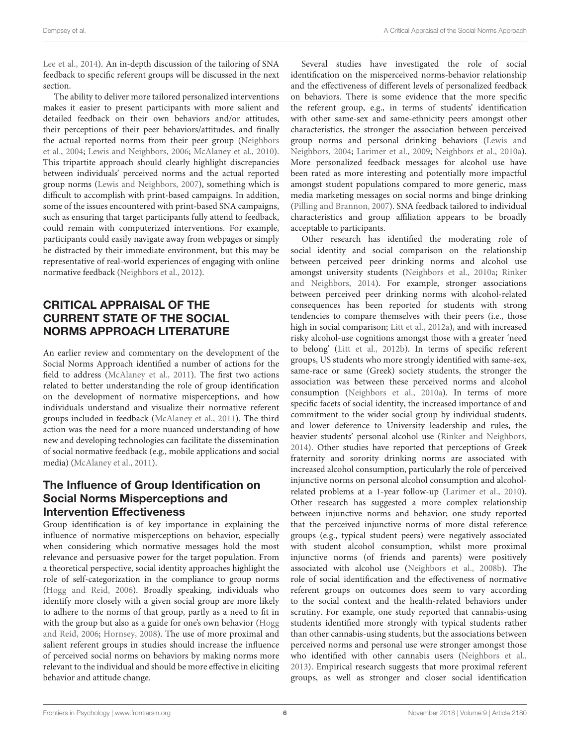[Lee et al.,](#page-14-23) [2014\)](#page-14-23). An in-depth discussion of the tailoring of SNA feedback to specific referent groups will be discussed in the next section.

The ability to deliver more tailored personalized interventions makes it easier to present participants with more salient and detailed feedback on their own behaviors and/or attitudes, their perceptions of their peer behaviors/attitudes, and finally the actual reported norms from their peer group [\(Neighbors](#page-15-19) [et al.,](#page-15-19) [2004;](#page-15-19) [Lewis and Neighbors,](#page-14-22) [2006;](#page-14-22) [McAlaney et al.,](#page-15-6) [2010\)](#page-15-6). This tripartite approach should clearly highlight discrepancies between individuals' perceived norms and the actual reported group norms [\(Lewis and Neighbors,](#page-14-24) [2007\)](#page-14-24), something which is difficult to accomplish with print-based campaigns. In addition, some of the issues encountered with print-based SNA campaigns, such as ensuring that target participants fully attend to feedback, could remain with computerized interventions. For example, participants could easily navigate away from webpages or simply be distracted by their immediate environment, but this may be representative of real-world experiences of engaging with online normative feedback [\(Neighbors et al.,](#page-15-14) [2012\)](#page-15-14).

# CRITICAL APPRAISAL OF THE CURRENT STATE OF THE SOCIAL NORMS APPROACH LITERATURE

An earlier review and commentary on the development of the Social Norms Approach identified a number of actions for the field to address [\(McAlaney et al.,](#page-15-0) [2011\)](#page-15-0). The first two actions related to better understanding the role of group identification on the development of normative misperceptions, and how individuals understand and visualize their normative referent groups included in feedback [\(McAlaney et al.,](#page-15-0) [2011\)](#page-15-0). The third action was the need for a more nuanced understanding of how new and developing technologies can facilitate the dissemination of social normative feedback (e.g., mobile applications and social media) [\(McAlaney et al.,](#page-15-0) [2011\)](#page-15-0).

### The Influence of Group Identification on Social Norms Misperceptions and Intervention Effectiveness

Group identification is of key importance in explaining the influence of normative misperceptions on behavior, especially when considering which normative messages hold the most relevance and persuasive power for the target population. From a theoretical perspective, social identity approaches highlight the role of self-categorization in the compliance to group norms [\(Hogg and Reid,](#page-14-0) [2006\)](#page-14-0). Broadly speaking, individuals who identify more closely with a given social group are more likely to adhere to the norms of that group, partly as a need to fit in with the group but also as a guide for one's own behavior [\(Hogg](#page-14-0) [and Reid,](#page-14-0) [2006;](#page-14-0) [Hornsey,](#page-14-25) [2008\)](#page-14-25). The use of more proximal and salient referent groups in studies should increase the influence of perceived social norms on behaviors by making norms more relevant to the individual and should be more effective in eliciting behavior and attitude change.

Several studies have investigated the role of social identification on the misperceived norms-behavior relationship and the effectiveness of different levels of personalized feedback on behaviors. There is some evidence that the more specific the referent group, e.g., in terms of students' identification with other same-sex and same-ethnicity peers amongst other characteristics, the stronger the association between perceived group norms and personal drinking behaviors [\(Lewis and](#page-14-26) [Neighbors,](#page-14-26) [2004;](#page-14-26) [Larimer et al.,](#page-14-2) [2009;](#page-14-2) [Neighbors et al.,](#page-15-20) [2010a\)](#page-15-20). More personalized feedback messages for alcohol use have been rated as more interesting and potentially more impactful amongst student populations compared to more generic, mass media marketing messages on social norms and binge drinking [\(Pilling and Brannon,](#page-16-15) [2007\)](#page-16-15). SNA feedback tailored to individual characteristics and group affiliation appears to be broadly acceptable to participants.

Other research has identified the moderating role of social identity and social comparison on the relationship between perceived peer drinking norms and alcohol use amongst university students [\(Neighbors et al.,](#page-15-20) [2010a;](#page-15-20) [Rinker](#page-16-16) [and Neighbors,](#page-16-16) [2014\)](#page-16-16). For example, stronger associations between perceived peer drinking norms with alcohol-related consequences has been reported for students with strong tendencies to compare themselves with their peers (i.e., those high in social comparison; [Litt et al.,](#page-14-27) [2012a\)](#page-14-27), and with increased risky alcohol-use cognitions amongst those with a greater 'need to belong' [\(Litt et al.,](#page-14-28) [2012b\)](#page-14-28). In terms of specific referent groups, US students who more strongly identified with same-sex, same-race or same (Greek) society students, the stronger the association was between these perceived norms and alcohol consumption [\(Neighbors et al.,](#page-15-20) [2010a\)](#page-15-20). In terms of more specific facets of social identity, the increased importance of and commitment to the wider social group by individual students, and lower deference to University leadership and rules, the heavier students' personal alcohol use [\(Rinker and Neighbors,](#page-16-16) [2014\)](#page-16-16). Other studies have reported that perceptions of Greek fraternity and sorority drinking norms are associated with increased alcohol consumption, particularly the role of perceived injunctive norms on personal alcohol consumption and alcoholrelated problems at a 1-year follow-up [\(Larimer et al.,](#page-14-29) [2010\)](#page-14-29). Other research has suggested a more complex relationship between injunctive norms and behavior; one study reported that the perceived injunctive norms of more distal reference groups (e.g., typical student peers) were negatively associated with student alcohol consumption, whilst more proximal injunctive norms (of friends and parents) were positively associated with alcohol use [\(Neighbors et al.,](#page-15-21) [2008b\)](#page-15-21). The role of social identification and the effectiveness of normative referent groups on outcomes does seem to vary according to the social context and the health-related behaviors under scrutiny. For example, one study reported that cannabis-using students identified more strongly with typical students rather than other cannabis-using students, but the associations between perceived norms and personal use were stronger amongst those who identified with other cannabis users [\(Neighbors et al.,](#page-15-22) [2013\)](#page-15-22). Empirical research suggests that more proximal referent groups, as well as stronger and closer social identification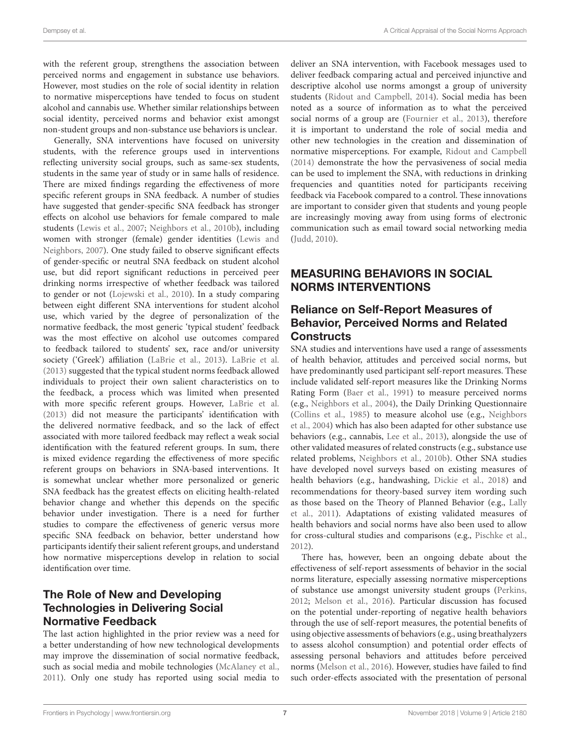with the referent group, strengthens the association between perceived norms and engagement in substance use behaviors. However, most studies on the role of social identity in relation to normative misperceptions have tended to focus on student alcohol and cannabis use. Whether similar relationships between social identity, perceived norms and behavior exist amongst non-student groups and non-substance use behaviors is unclear.

Generally, SNA interventions have focused on university students, with the reference groups used in interventions reflecting university social groups, such as same-sex students, students in the same year of study or in same halls of residence. There are mixed findings regarding the effectiveness of more specific referent groups in SNA feedback. A number of studies have suggested that gender-specific SNA feedback has stronger effects on alcohol use behaviors for female compared to male students [\(Lewis et al.,](#page-14-8) [2007;](#page-14-8) [Neighbors et al.,](#page-15-13) [2010b\)](#page-15-13), including women with stronger (female) gender identities [\(Lewis and](#page-14-24) [Neighbors,](#page-14-24) [2007\)](#page-14-24). One study failed to observe significant effects of gender-specific or neutral SNA feedback on student alcohol use, but did report significant reductions in perceived peer drinking norms irrespective of whether feedback was tailored to gender or not [\(Lojewski et al.,](#page-14-30) [2010\)](#page-14-30). In a study comparing between eight different SNA interventions for student alcohol use, which varied by the degree of personalization of the normative feedback, the most generic 'typical student' feedback was the most effective on alcohol use outcomes compared to feedback tailored to students' sex, race and/or university society ('Greek') affiliation [\(LaBrie et al.,](#page-14-14) [2013\)](#page-14-14). [LaBrie et al.](#page-14-14) [\(2013\)](#page-14-14) suggested that the typical student norms feedback allowed individuals to project their own salient characteristics on to the feedback, a process which was limited when presented with more specific referent groups. However, [LaBrie et al.](#page-14-14) [\(2013\)](#page-14-14) did not measure the participants' identification with the delivered normative feedback, and so the lack of effect associated with more tailored feedback may reflect a weak social identification with the featured referent groups. In sum, there is mixed evidence regarding the effectiveness of more specific referent groups on behaviors in SNA-based interventions. It is somewhat unclear whether more personalized or generic SNA feedback has the greatest effects on eliciting health-related behavior change and whether this depends on the specific behavior under investigation. There is a need for further studies to compare the effectiveness of generic versus more specific SNA feedback on behavior, better understand how participants identify their salient referent groups, and understand how normative misperceptions develop in relation to social identification over time.

### The Role of New and Developing Technologies in Delivering Social Normative Feedback

The last action highlighted in the prior review was a need for a better understanding of how new technological developments may improve the dissemination of social normative feedback, such as social media and mobile technologies [\(McAlaney et al.,](#page-15-0) [2011\)](#page-15-0). Only one study has reported using social media to

deliver an SNA intervention, with Facebook messages used to deliver feedback comparing actual and perceived injunctive and descriptive alcohol use norms amongst a group of university students [\(Ridout and Campbell,](#page-16-12) [2014\)](#page-16-12). Social media has been noted as a source of information as to what the perceived social norms of a group are [\(Fournier et al.,](#page-13-19) [2013\)](#page-13-19), therefore it is important to understand the role of social media and other new technologies in the creation and dissemination of normative misperceptions. For example, [Ridout and Campbell](#page-16-12) [\(2014\)](#page-16-12) demonstrate the how the pervasiveness of social media can be used to implement the SNA, with reductions in drinking frequencies and quantities noted for participants receiving feedback via Facebook compared to a control. These innovations are important to consider given that students and young people are increasingly moving away from using forms of electronic communication such as email toward social networking media [\(Judd,](#page-14-31) [2010\)](#page-14-31).

# MEASURING BEHAVIORS IN SOCIAL NORMS INTERVENTIONS

### Reliance on Self-Report Measures of Behavior, Perceived Norms and Related **Constructs**

SNA studies and interventions have used a range of assessments of health behavior, attitudes and perceived social norms, but have predominantly used participant self-report measures. These include validated self-report measures like the Drinking Norms Rating Form [\(Baer et al.,](#page-13-20) [1991\)](#page-13-20) to measure perceived norms (e.g., [Neighbors et al.,](#page-15-19) [2004\)](#page-15-19), the Daily Drinking Questionnaire [\(Collins et al.,](#page-13-21) [1985\)](#page-13-21) to measure alcohol use (e.g., [Neighbors](#page-15-19) [et al.,](#page-15-19) [2004\)](#page-15-19) which has also been adapted for other substance use behaviors (e.g., cannabis, [Lee et al.,](#page-14-16) [2013\)](#page-14-16), alongside the use of other validated measures of related constructs (e.g., substance use related problems, [Neighbors et al.,](#page-15-13) [2010b\)](#page-15-13). Other SNA studies have developed novel surveys based on existing measures of health behaviors (e.g., handwashing, [Dickie et al.,](#page-13-11) [2018\)](#page-13-11) and recommendations for theory-based survey item wording such as those based on the Theory of Planned Behavior (e.g., [Lally](#page-14-5) [et al.,](#page-14-5) [2011\)](#page-14-5). Adaptations of existing validated measures of health behaviors and social norms have also been used to allow for cross-cultural studies and comparisons (e.g., [Pischke et al.,](#page-16-9) [2012\)](#page-16-9).

There has, however, been an ongoing debate about the effectiveness of self-report assessments of behavior in the social norms literature, especially assessing normative misperceptions of substance use amongst university student groups [\(Perkins,](#page-16-17) [2012;](#page-16-17) [Melson et al.,](#page-15-23) [2016\)](#page-15-23). Particular discussion has focused on the potential under-reporting of negative health behaviors through the use of self-report measures, the potential benefits of using objective assessments of behaviors (e.g., using breathalyzers to assess alcohol consumption) and potential order effects of assessing personal behaviors and attitudes before perceived norms [\(Melson et al.,](#page-15-23) [2016\)](#page-15-23). However, studies have failed to find such order-effects associated with the presentation of personal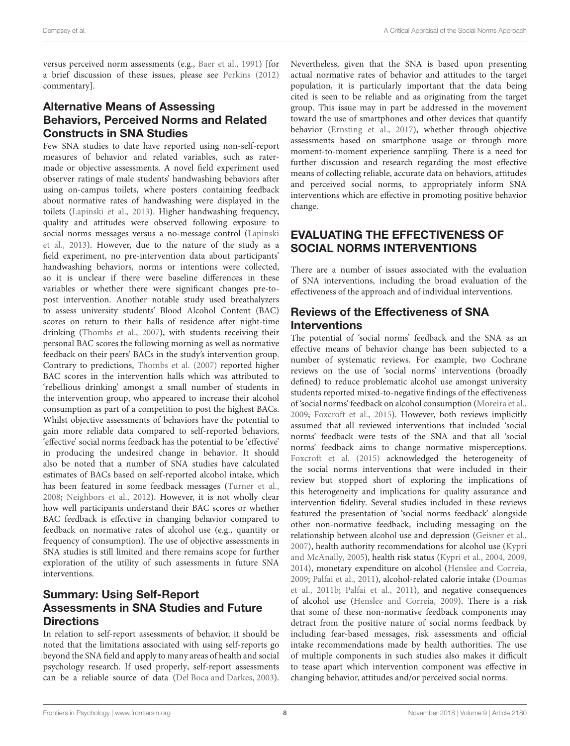versus perceived norm assessments (e.g., [Baer et al.,](#page-13-20) [1991\)](#page-13-20) [for a brief discussion of these issues, please see [Perkins](#page-16-17) [\(2012\)](#page-16-17) commentary].

# Alternative Means of Assessing Behaviors, Perceived Norms and Related Constructs in SNA Studies

Few SNA studies to date have reported using non-self-report measures of behavior and related variables, such as ratermade or objective assessments. A novel field experiment used observer ratings of male students' handwashing behaviors after using on-campus toilets, where posters containing feedback about normative rates of handwashing were displayed in the toilets [\(Lapinski et al.,](#page-14-9) [2013\)](#page-14-9). Higher handwashing frequency, quality and attitudes were observed following exposure to social norms messages versus a no-message control [\(Lapinski](#page-14-9) [et al.,](#page-14-9) [2013\)](#page-14-9). However, due to the nature of the study as a field experiment, no pre-intervention data about participants' handwashing behaviors, norms or intentions were collected, so it is unclear if there were baseline differences in these variables or whether there were significant changes pre-topost intervention. Another notable study used breathalyzers to assess university students' Blood Alcohol Content (BAC) scores on return to their halls of residence after night-time drinking [\(Thombs et al.,](#page-16-18) [2007\)](#page-16-18), with students receiving their personal BAC scores the following morning as well as normative feedback on their peers' BACs in the study's intervention group. Contrary to predictions, [Thombs et al.](#page-16-18) [\(2007\)](#page-16-18) reported higher BAC scores in the intervention halls which was attributed to 'rebellious drinking' amongst a small number of students in the intervention group, who appeared to increase their alcohol consumption as part of a competition to post the highest BACs. Whilst objective assessments of behaviors have the potential to gain more reliable data compared to self-reported behaviors, 'effective' social norms feedback has the potential to be 'effective' in producing the undesired change in behavior. It should also be noted that a number of SNA studies have calculated estimates of BACs based on self-reported alcohol intake, which has been featured in some feedback messages [\(Turner et al.,](#page-16-14) [2008;](#page-16-14) [Neighbors et al.,](#page-15-14) [2012\)](#page-15-14). However, it is not wholly clear how well participants understand their BAC scores or whether BAC feedback is effective in changing behavior compared to feedback on normative rates of alcohol use (e.g., quantity or frequency of consumption). The use of objective assessments in SNA studies is still limited and there remains scope for further exploration of the utility of such assessments in future SNA interventions.

# Summary: Using Self-Report Assessments in SNA Studies and Future **Directions**

In relation to self-report assessments of behavior, it should be noted that the limitations associated with using self-reports go beyond the SNA field and apply to many areas of health and social psychology research. If used properly, self-report assessments can be a reliable source of data [\(Del Boca and Darkes,](#page-13-22) [2003\)](#page-13-22).

Nevertheless, given that the SNA is based upon presenting actual normative rates of behavior and attitudes to the target population, it is particularly important that the data being cited is seen to be reliable and as originating from the target group. This issue may in part be addressed in the movement toward the use of smartphones and other devices that quantify behavior [\(Ernsting et al.,](#page-13-23) [2017\)](#page-13-23), whether through objective assessments based on smartphone usage or through more moment-to-moment experience sampling. There is a need for further discussion and research regarding the most effective means of collecting reliable, accurate data on behaviors, attitudes and perceived social norms, to appropriately inform SNA interventions which are effective in promoting positive behavior change.

# EVALUATING THE EFFECTIVENESS OF SOCIAL NORMS INTERVENTIONS

There are a number of issues associated with the evaluation of SNA interventions, including the broad evaluation of the effectiveness of the approach and of individual interventions.

# Reviews of the Effectiveness of SNA Interventions

The potential of 'social norms' feedback and the SNA as an effective means of behavior change has been subjected to a number of systematic reviews. For example, two Cochrane reviews on the use of 'social norms' interventions (broadly defined) to reduce problematic alcohol use amongst university students reported mixed-to-negative findings of the effectiveness of 'social norms' feedback on alcohol consumption [\(Moreira et al.,](#page-15-24) [2009;](#page-15-24) [Foxcroft et al.,](#page-13-24) [2015\)](#page-13-24). However, both reviews implicitly assumed that all reviewed interventions that included 'social norms' feedback were tests of the SNA and that all 'social norms' feedback aims to change normative misperceptions. [Foxcroft et al.](#page-13-24) [\(2015\)](#page-13-24) acknowledged the heterogeneity of the social norms interventions that were included in their review but stopped short of exploring the implications of this heterogeneity and implications for quality assurance and intervention fidelity. Several studies included in these reviews featured the presentation of 'social norms feedback' alongside other non-normative feedback, including messaging on the relationship between alcohol use and depression [\(Geisner et al.,](#page-13-25) [2007\)](#page-13-25), health authority recommendations for alcohol use [\(Kypri](#page-14-32) [and McAnally,](#page-14-32) [2005\)](#page-14-32), health risk status [\(Kypri et al.,](#page-14-10) [2004,](#page-14-10) [2009,](#page-14-11) [2014\)](#page-14-33), monetary expenditure on alcohol [\(Henslee and Correia,](#page-14-34) [2009;](#page-14-34) [Palfai et al.,](#page-15-25) [2011\)](#page-15-25), alcohol-related calorie intake [\(Doumas](#page-13-18) [et al.,](#page-13-18) [2011b;](#page-13-18) [Palfai et al.,](#page-15-25) [2011\)](#page-15-25), and negative consequences of alcohol use [\(Henslee and Correia,](#page-14-34) [2009\)](#page-14-34). There is a risk that some of these non-normative feedback components may detract from the positive nature of social norms feedback by including fear-based messages, risk assessments and official intake recommendations made by health authorities. The use of multiple components in such studies also makes it difficult to tease apart which intervention component was effective in changing behavior, attitudes and/or perceived social norms.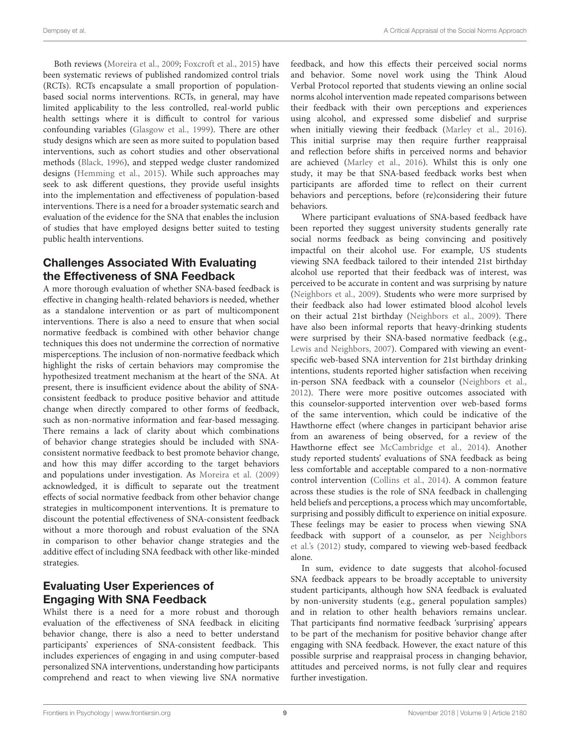Both reviews [\(Moreira et al.,](#page-15-24) [2009;](#page-15-24) [Foxcroft et al.,](#page-13-24) [2015\)](#page-13-24) have been systematic reviews of published randomized control trials (RCTs). RCTs encapsulate a small proportion of populationbased social norms interventions. RCTs, in general, may have limited applicability to the less controlled, real-world public health settings where it is difficult to control for various confounding variables [\(Glasgow et al.,](#page-13-26) [1999\)](#page-13-26). There are other study designs which are seen as more suited to population based interventions, such as cohort studies and other observational methods [\(Black,](#page-13-27) [1996\)](#page-13-27), and stepped wedge cluster randomized designs [\(Hemming et al.,](#page-14-35) [2015\)](#page-14-35). While such approaches may seek to ask different questions, they provide useful insights into the implementation and effectiveness of population-based interventions. There is a need for a broader systematic search and evaluation of the evidence for the SNA that enables the inclusion of studies that have employed designs better suited to testing public health interventions.

#### Challenges Associated With Evaluating the Effectiveness of SNA Feedback

A more thorough evaluation of whether SNA-based feedback is effective in changing health-related behaviors is needed, whether as a standalone intervention or as part of multicomponent interventions. There is also a need to ensure that when social normative feedback is combined with other behavior change techniques this does not undermine the correction of normative misperceptions. The inclusion of non-normative feedback which highlight the risks of certain behaviors may compromise the hypothesized treatment mechanism at the heart of the SNA. At present, there is insufficient evidence about the ability of SNAconsistent feedback to produce positive behavior and attitude change when directly compared to other forms of feedback, such as non-normative information and fear-based messaging. There remains a lack of clarity about which combinations of behavior change strategies should be included with SNAconsistent normative feedback to best promote behavior change, and how this may differ according to the target behaviors and populations under investigation. As [Moreira et al.](#page-15-24) [\(2009\)](#page-15-24) acknowledged, it is difficult to separate out the treatment effects of social normative feedback from other behavior change strategies in multicomponent interventions. It is premature to discount the potential effectiveness of SNA-consistent feedback without a more thorough and robust evaluation of the SNA in comparison to other behavior change strategies and the additive effect of including SNA feedback with other like-minded strategies.

#### Evaluating User Experiences of Engaging With SNA Feedback

Whilst there is a need for a more robust and thorough evaluation of the effectiveness of SNA feedback in eliciting behavior change, there is also a need to better understand participants' experiences of SNA-consistent feedback. This includes experiences of engaging in and using computer-based personalized SNA interventions, understanding how participants comprehend and react to when viewing live SNA normative feedback, and how this effects their perceived social norms and behavior. Some novel work using the Think Aloud Verbal Protocol reported that students viewing an online social norms alcohol intervention made repeated comparisons between their feedback with their own perceptions and experiences using alcohol, and expressed some disbelief and surprise when initially viewing their feedback [\(Marley et al.,](#page-15-26) [2016\)](#page-15-26). This initial surprise may then require further reappraisal and reflection before shifts in perceived norms and behavior are achieved [\(Marley et al.,](#page-15-26) [2016\)](#page-15-26). Whilst this is only one study, it may be that SNA-based feedback works best when participants are afforded time to reflect on their current behaviors and perceptions, before (re)considering their future behaviors.

Where participant evaluations of SNA-based feedback have been reported they suggest university students generally rate social norms feedback as being convincing and positively impactful on their alcohol use. For example, US students viewing SNA feedback tailored to their intended 21st birthday alcohol use reported that their feedback was of interest, was perceived to be accurate in content and was surprising by nature [\(Neighbors et al.,](#page-15-15) [2009\)](#page-15-15). Students who were more surprised by their feedback also had lower estimated blood alcohol levels on their actual 21st birthday [\(Neighbors et al.,](#page-15-15) [2009\)](#page-15-15). There have also been informal reports that heavy-drinking students were surprised by their SNA-based normative feedback (e.g., [Lewis and Neighbors,](#page-14-24) [2007\)](#page-14-24). Compared with viewing an eventspecific web-based SNA intervention for 21st birthday drinking intentions, students reported higher satisfaction when receiving in-person SNA feedback with a counselor [\(Neighbors et al.,](#page-15-14) [2012\)](#page-15-14). There were more positive outcomes associated with this counselor-supported intervention over web-based forms of the same intervention, which could be indicative of the Hawthorne effect (where changes in participant behavior arise from an awareness of being observed, for a review of the Hawthorne effect see [McCambridge et al.,](#page-15-27) [2014\)](#page-15-27). Another study reported students' evaluations of SNA feedback as being less comfortable and acceptable compared to a non-normative control intervention [\(Collins et al.,](#page-13-15) [2014\)](#page-13-15). A common feature across these studies is the role of SNA feedback in challenging held beliefs and perceptions, a process which may uncomfortable, surprising and possibly difficult to experience on initial exposure. These feelings may be easier to process when viewing SNA feedback with support of a counselor, as per [Neighbors](#page-15-14) [et al.'](#page-15-14)s [\(2012\)](#page-15-14) study, compared to viewing web-based feedback alone.

In sum, evidence to date suggests that alcohol-focused SNA feedback appears to be broadly acceptable to university student participants, although how SNA feedback is evaluated by non-university students (e.g., general population samples) and in relation to other health behaviors remains unclear. That participants find normative feedback 'surprising' appears to be part of the mechanism for positive behavior change after engaging with SNA feedback. However, the exact nature of this possible surprise and reappraisal process in changing behavior, attitudes and perceived norms, is not fully clear and requires further investigation.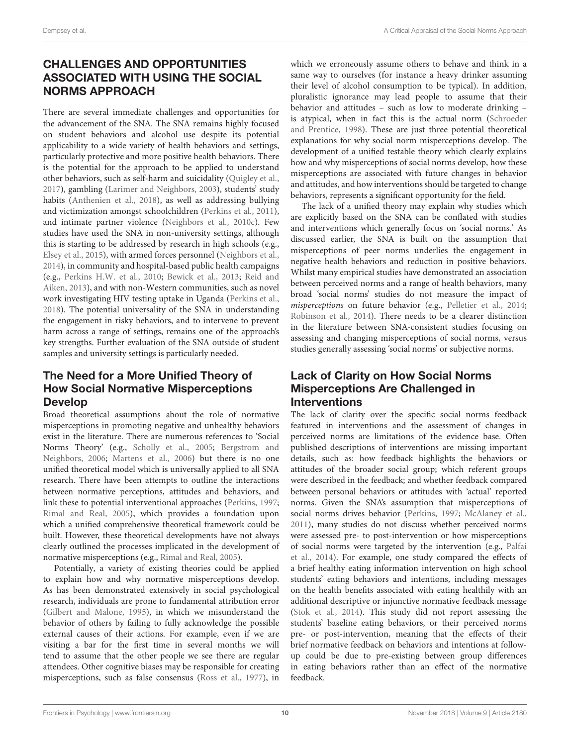# CHALLENGES AND OPPORTUNITIES ASSOCIATED WITH USING THE SOCIAL NORMS APPROACH

There are several immediate challenges and opportunities for the advancement of the SNA. The SNA remains highly focused on student behaviors and alcohol use despite its potential applicability to a wide variety of health behaviors and settings, particularly protective and more positive health behaviors. There is the potential for the approach to be applied to understand other behaviors, such as self-harm and suicidality [\(Quigley et al.,](#page-16-19) [2017\)](#page-16-19), gambling [\(Larimer and Neighbors,](#page-14-36) [2003\)](#page-14-36), students' study habits [\(Anthenien et al.,](#page-13-28) [2018\)](#page-13-28), as well as addressing bullying and victimization amongst schoolchildren [\(Perkins et al.,](#page-16-20) [2011\)](#page-16-20), and intimate partner violence [\(Neighbors et al.,](#page-15-28) [2010c\)](#page-15-28). Few studies have used the SNA in non-university settings, although this is starting to be addressed by research in high schools (e.g., [Elsey et al.,](#page-13-13) [2015\)](#page-13-13), with armed forces personnel [\(Neighbors et al.,](#page-15-29) [2014\)](#page-15-29), in community and hospital-based public health campaigns (e.g., [Perkins H.W. et al.,](#page-16-6) [2010;](#page-16-6) [Bewick et al.,](#page-13-12) [2013;](#page-13-12) [Reid and](#page-16-4) [Aiken,](#page-16-4) [2013\)](#page-16-4), and with non-Western communities, such as novel work investigating HIV testing uptake in Uganda [\(Perkins et al.,](#page-16-5) [2018\)](#page-16-5). The potential universality of the SNA in understanding the engagement in risky behaviors, and to intervene to prevent harm across a range of settings, remains one of the approach's key strengths. Further evaluation of the SNA outside of student samples and university settings is particularly needed.

### The Need for a More Unified Theory of How Social Normative Misperceptions Develop

Broad theoretical assumptions about the role of normative misperceptions in promoting negative and unhealthy behaviors exist in the literature. There are numerous references to 'Social Norms Theory' (e.g., [Scholly et al.,](#page-16-3) [2005;](#page-16-3) [Bergstrom and](#page-13-29) [Neighbors,](#page-13-29) [2006;](#page-13-29) [Martens et al.,](#page-15-7) [2006\)](#page-15-7) but there is no one unified theoretical model which is universally applied to all SNA research. There have been attempts to outline the interactions between normative perceptions, attitudes and behaviors, and link these to potential interventional approaches [\(Perkins,](#page-15-11) [1997;](#page-15-11) [Rimal and Real,](#page-16-21) [2005\)](#page-16-21), which provides a foundation upon which a unified comprehensive theoretical framework could be built. However, these theoretical developments have not always clearly outlined the processes implicated in the development of normative misperceptions (e.g., [Rimal and Real,](#page-16-21) [2005\)](#page-16-21).

Potentially, a variety of existing theories could be applied to explain how and why normative misperceptions develop. As has been demonstrated extensively in social psychological research, individuals are prone to fundamental attribution error [\(Gilbert and Malone,](#page-13-30) [1995\)](#page-13-30), in which we misunderstand the behavior of others by failing to fully acknowledge the possible external causes of their actions. For example, even if we are visiting a bar for the first time in several months we will tend to assume that the other people we see there are regular attendees. Other cognitive biases may be responsible for creating misperceptions, such as false consensus [\(Ross et al.,](#page-16-22) [1977\)](#page-16-22), in

which we erroneously assume others to behave and think in a same way to ourselves (for instance a heavy drinker assuming their level of alcohol consumption to be typical). In addition, pluralistic ignorance may lead people to assume that their behavior and attitudes – such as low to moderate drinking – is atypical, when in fact this is the actual norm [\(Schroeder](#page-16-23) [and Prentice,](#page-16-23) [1998\)](#page-16-23). These are just three potential theoretical explanations for why social norm misperceptions develop. The development of a unified testable theory which clearly explains how and why misperceptions of social norms develop, how these misperceptions are associated with future changes in behavior and attitudes, and how interventions should be targeted to change behaviors, represents a significant opportunity for the field.

The lack of a unified theory may explain why studies which are explicitly based on the SNA can be conflated with studies and interventions which generally focus on 'social norms.' As discussed earlier, the SNA is built on the assumption that misperceptions of peer norms underlies the engagement in negative health behaviors and reduction in positive behaviors. Whilst many empirical studies have demonstrated an association between perceived norms and a range of health behaviors, many broad 'social norms' studies do not measure the impact of misperceptions on future behavior (e.g., [Pelletier et al.,](#page-15-30) [2014;](#page-15-30) [Robinson et al.,](#page-16-24) [2014\)](#page-16-24). There needs to be a clearer distinction in the literature between SNA-consistent studies focusing on assessing and changing misperceptions of social norms, versus studies generally assessing 'social norms' or subjective norms.

### Lack of Clarity on How Social Norms Misperceptions Are Challenged in Interventions

The lack of clarity over the specific social norms feedback featured in interventions and the assessment of changes in perceived norms are limitations of the evidence base. Often published descriptions of interventions are missing important details, such as: how feedback highlights the behaviors or attitudes of the broader social group; which referent groups were described in the feedback; and whether feedback compared between personal behaviors or attitudes with 'actual' reported norms. Given the SNA's assumption that misperceptions of social norms drives behavior [\(Perkins,](#page-15-11) [1997;](#page-15-11) [McAlaney et al.,](#page-15-0) [2011\)](#page-15-0), many studies do not discuss whether perceived norms were assessed pre- to post-intervention or how misperceptions of social norms were targeted by the intervention (e.g., [Palfai](#page-15-31) [et al.,](#page-15-31) [2014\)](#page-15-31). For example, one study compared the effects of a brief healthy eating information intervention on high school students' eating behaviors and intentions, including messages on the health benefits associated with eating healthily with an additional descriptive or injunctive normative feedback message [\(Stok et al.,](#page-16-25) [2014\)](#page-16-25). This study did not report assessing the students' baseline eating behaviors, or their perceived norms pre- or post-intervention, meaning that the effects of their brief normative feedback on behaviors and intentions at followup could be due to pre-existing between group differences in eating behaviors rather than an effect of the normative feedback.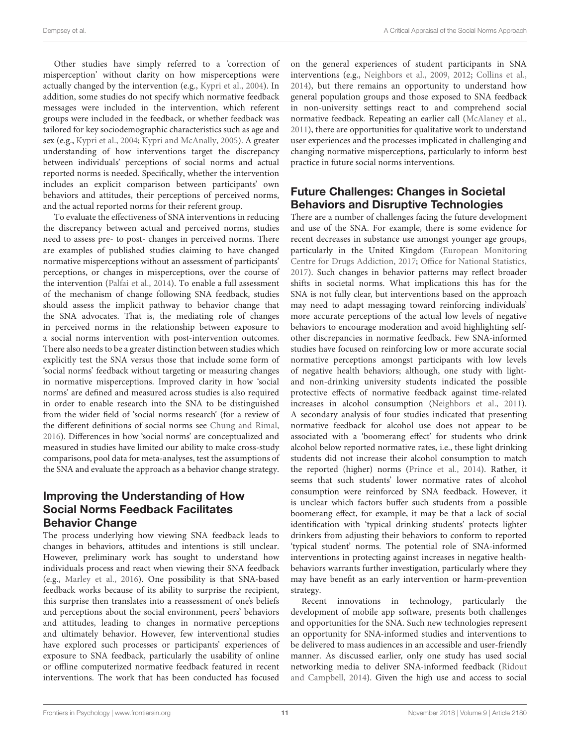Other studies have simply referred to a 'correction of misperception' without clarity on how misperceptions were actually changed by the intervention (e.g., [Kypri et al.,](#page-14-10) [2004\)](#page-14-10). In addition, some studies do not specify which normative feedback messages were included in the intervention, which referent groups were included in the feedback, or whether feedback was tailored for key sociodemographic characteristics such as age and sex (e.g., [Kypri et al.,](#page-14-10) [2004;](#page-14-10) [Kypri and McAnally,](#page-14-32) [2005\)](#page-14-32). A greater understanding of how interventions target the discrepancy between individuals' perceptions of social norms and actual reported norms is needed. Specifically, whether the intervention includes an explicit comparison between participants' own behaviors and attitudes, their perceptions of perceived norms, and the actual reported norms for their referent group.

To evaluate the effectiveness of SNA interventions in reducing the discrepancy between actual and perceived norms, studies need to assess pre- to post- changes in perceived norms. There are examples of published studies claiming to have changed normative misperceptions without an assessment of participants' perceptions, or changes in misperceptions, over the course of the intervention [\(Palfai et al.,](#page-15-31) [2014\)](#page-15-31). To enable a full assessment of the mechanism of change following SNA feedback, studies should assess the implicit pathway to behavior change that the SNA advocates. That is, the mediating role of changes in perceived norms in the relationship between exposure to a social norms intervention with post-intervention outcomes. There also needs to be a greater distinction between studies which explicitly test the SNA versus those that include some form of 'social norms' feedback without targeting or measuring changes in normative misperceptions. Improved clarity in how 'social norms' are defined and measured across studies is also required in order to enable research into the SNA to be distinguished from the wider field of 'social norms research' (for a review of the different definitions of social norms see [Chung and Rimal,](#page-13-3) [2016\)](#page-13-3). Differences in how 'social norms' are conceptualized and measured in studies have limited our ability to make cross-study comparisons, pool data for meta-analyses, test the assumptions of the SNA and evaluate the approach as a behavior change strategy.

#### Improving the Understanding of How Social Norms Feedback Facilitates Behavior Change

The process underlying how viewing SNA feedback leads to changes in behaviors, attitudes and intentions is still unclear. However, preliminary work has sought to understand how individuals process and react when viewing their SNA feedback (e.g., [Marley et al.,](#page-15-26) [2016\)](#page-15-26). One possibility is that SNA-based feedback works because of its ability to surprise the recipient, this surprise then translates into a reassessment of one's beliefs and perceptions about the social environment, peers' behaviors and attitudes, leading to changes in normative perceptions and ultimately behavior. However, few interventional studies have explored such processes or participants' experiences of exposure to SNA feedback, particularly the usability of online or offline computerized normative feedback featured in recent interventions. The work that has been conducted has focused

on the general experiences of student participants in SNA interventions (e.g., [Neighbors et al.,](#page-15-15) [2009,](#page-15-15) [2012;](#page-15-14) [Collins et al.,](#page-13-15) [2014\)](#page-13-15), but there remains an opportunity to understand how general population groups and those exposed to SNA feedback in non-university settings react to and comprehend social normative feedback. Repeating an earlier call [\(McAlaney et al.,](#page-15-0) [2011\)](#page-15-0), there are opportunities for qualitative work to understand user experiences and the processes implicated in challenging and changing normative misperceptions, particularly to inform best practice in future social norms interventions.

#### Future Challenges: Changes in Societal Behaviors and Disruptive Technologies

There are a number of challenges facing the future development and use of the SNA. For example, there is some evidence for recent decreases in substance use amongst younger age groups, particularly in the United Kingdom [\(European Monitoring](#page-13-31) [Centre for Drugs Addiction,](#page-13-31) [2017;](#page-13-31) [Office for National Statistics,](#page-15-32) [2017\)](#page-15-32). Such changes in behavior patterns may reflect broader shifts in societal norms. What implications this has for the SNA is not fully clear, but interventions based on the approach may need to adapt messaging toward reinforcing individuals' more accurate perceptions of the actual low levels of negative behaviors to encourage moderation and avoid highlighting selfother discrepancies in normative feedback. Few SNA-informed studies have focused on reinforcing low or more accurate social normative perceptions amongst participants with low levels of negative health behaviors; although, one study with lightand non-drinking university students indicated the possible protective effects of normative feedback against time-related increases in alcohol consumption [\(Neighbors et al.,](#page-15-18) [2011\)](#page-15-18). A secondary analysis of four studies indicated that presenting normative feedback for alcohol use does not appear to be associated with a 'boomerang effect' for students who drink alcohol below reported normative rates, i.e., these light drinking students did not increase their alcohol consumption to match the reported (higher) norms [\(Prince et al.,](#page-16-26) [2014\)](#page-16-26). Rather, it seems that such students' lower normative rates of alcohol consumption were reinforced by SNA feedback. However, it is unclear which factors buffer such students from a possible boomerang effect, for example, it may be that a lack of social identification with 'typical drinking students' protects lighter drinkers from adjusting their behaviors to conform to reported 'typical student' norms. The potential role of SNA-informed interventions in protecting against increases in negative healthbehaviors warrants further investigation, particularly where they may have benefit as an early intervention or harm-prevention strategy.

Recent innovations in technology, particularly the development of mobile app software, presents both challenges and opportunities for the SNA. Such new technologies represent an opportunity for SNA-informed studies and interventions to be delivered to mass audiences in an accessible and user-friendly manner. As discussed earlier, only one study has used social networking media to deliver SNA-informed feedback [\(Ridout](#page-16-12) [and Campbell,](#page-16-12) [2014\)](#page-16-12). Given the high use and access to social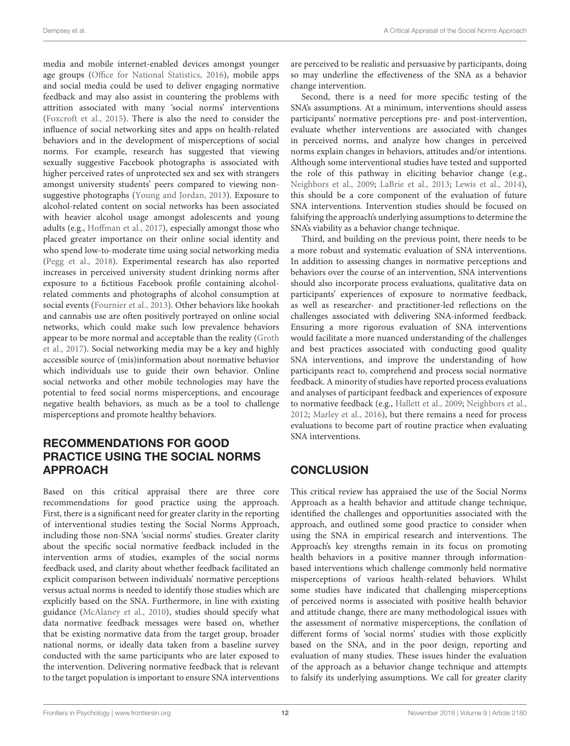media and mobile internet-enabled devices amongst younger age groups [\(Office for National Statistics,](#page-15-33) [2016\)](#page-15-33), mobile apps and social media could be used to deliver engaging normative feedback and may also assist in countering the problems with attrition associated with many 'social norms' interventions [\(Foxcroft et al.,](#page-13-24) [2015\)](#page-13-24). There is also the need to consider the influence of social networking sites and apps on health-related behaviors and in the development of misperceptions of social norms. For example, research has suggested that viewing sexually suggestive Facebook photographs is associated with higher perceived rates of unprotected sex and sex with strangers amongst university students' peers compared to viewing nonsuggestive photographs [\(Young and Jordan,](#page-16-27) [2013\)](#page-16-27). Exposure to alcohol-related content on social networks has been associated with heavier alcohol usage amongst adolescents and young adults (e.g., [Hoffman et al.,](#page-14-37) [2017\)](#page-14-37), especially amongst those who placed greater importance on their online social identity and who spend low-to-moderate time using social networking media [\(Pegg et al.,](#page-15-34) [2018\)](#page-15-34). Experimental research has also reported increases in perceived university student drinking norms after exposure to a fictitious Facebook profile containing alcoholrelated comments and photographs of alcohol consumption at social events [\(Fournier et al.,](#page-13-19) [2013\)](#page-13-19). Other behaviors like hookah and cannabis use are often positively portrayed on online social networks, which could make such low prevalence behaviors appear to be more normal and acceptable than the reality [\(Groth](#page-13-32) [et al.,](#page-13-32) [2017\)](#page-13-32). Social networking media may be a key and highly accessible source of (mis)information about normative behavior which individuals use to guide their own behavior. Online social networks and other mobile technologies may have the potential to feed social norms misperceptions, and encourage negative health behaviors, as much as be a tool to challenge misperceptions and promote healthy behaviors.

### RECOMMENDATIONS FOR GOOD PRACTICE USING THE SOCIAL NORMS APPROACH

Based on this critical appraisal there are three core recommendations for good practice using the approach. First, there is a significant need for greater clarity in the reporting of interventional studies testing the Social Norms Approach, including those non-SNA 'social norms' studies. Greater clarity about the specific social normative feedback included in the intervention arms of studies, examples of the social norms feedback used, and clarity about whether feedback facilitated an explicit comparison between individuals' normative perceptions versus actual norms is needed to identify those studies which are explicitly based on the SNA. Furthermore, in line with existing guidance [\(McAlaney et al.,](#page-15-6) [2010\)](#page-15-6), studies should specify what data normative feedback messages were based on, whether that be existing normative data from the target group, broader national norms, or ideally data taken from a baseline survey conducted with the same participants who are later exposed to the intervention. Delivering normative feedback that is relevant to the target population is important to ensure SNA interventions

are perceived to be realistic and persuasive by participants, doing so may underline the effectiveness of the SNA as a behavior change intervention.

Second, there is a need for more specific testing of the SNA's assumptions. At a minimum, interventions should assess participants' normative perceptions pre- and post-intervention, evaluate whether interventions are associated with changes in perceived norms, and analyze how changes in perceived norms explain changes in behaviors, attitudes and/or intentions. Although some interventional studies have tested and supported the role of this pathway in eliciting behavior change (e.g., [Neighbors et al.,](#page-15-15) [2009;](#page-15-15) [LaBrie et al.,](#page-14-14) [2013;](#page-14-14) [Lewis et al.,](#page-14-19) [2014\)](#page-14-19), this should be a core component of the evaluation of future SNA interventions. Intervention studies should be focused on falsifying the approach's underlying assumptions to determine the SNA's viability as a behavior change technique.

Third, and building on the previous point, there needs to be a more robust and systematic evaluation of SNA interventions. In addition to assessing changes in normative perceptions and behaviors over the course of an intervention, SNA interventions should also incorporate process evaluations, qualitative data on participants' experiences of exposure to normative feedback, as well as researcher- and practitioner-led reflections on the challenges associated with delivering SNA-informed feedback. Ensuring a more rigorous evaluation of SNA interventions would facilitate a more nuanced understanding of the challenges and best practices associated with conducting good quality SNA interventions, and improve the understanding of how participants react to, comprehend and process social normative feedback. A minority of studies have reported process evaluations and analyses of participant feedback and experiences of exposure to normative feedback (e.g., [Hallett et al.,](#page-13-33) [2009;](#page-13-33) [Neighbors et al.,](#page-15-14) [2012;](#page-15-14) [Marley et al.,](#page-15-26) [2016\)](#page-15-26), but there remains a need for process evaluations to become part of routine practice when evaluating SNA interventions.

# **CONCLUSION**

This critical review has appraised the use of the Social Norms Approach as a health behavior and attitude change technique, identified the challenges and opportunities associated with the approach, and outlined some good practice to consider when using the SNA in empirical research and interventions. The Approach's key strengths remain in its focus on promoting health behaviors in a positive manner through informationbased interventions which challenge commonly held normative misperceptions of various health-related behaviors. Whilst some studies have indicated that challenging misperceptions of perceived norms is associated with positive health behavior and attitude change, there are many methodological issues with the assessment of normative misperceptions, the conflation of different forms of 'social norms' studies with those explicitly based on the SNA, and in the poor design, reporting and evaluation of many studies. These issues hinder the evaluation of the approach as a behavior change technique and attempts to falsify its underlying assumptions. We call for greater clarity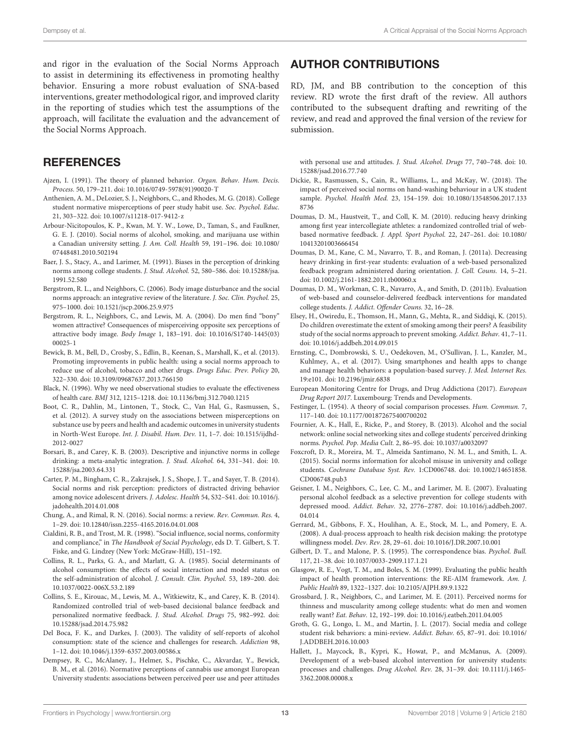and rigor in the evaluation of the Social Norms Approach to assist in determining its effectiveness in promoting healthy behavior. Ensuring a more robust evaluation of SNA-based interventions, greater methodological rigor, and improved clarity in the reporting of studies which test the assumptions of the approach, will facilitate the evaluation and the advancement of the Social Norms Approach.

#### **REFERENCES**

- <span id="page-13-0"></span>Ajzen, I. (1991). The theory of planned behavior. Organ. Behav. Hum. Decis. Process. 50, 179–211. [doi: 10.1016/0749-5978\(91\)90020-T](https://doi.org/10.1016/0749-5978(91)90020-T)
- <span id="page-13-28"></span>Anthenien, A. M., DeLozier, S. J., Neighbors, C., and Rhodes, M. G. (2018). College student normative misperceptions of peer study habit use. Soc. Psychol. Educ. 21, 303–322. [doi: 10.1007/s11218-017-9412-z](https://doi.org/10.1007/s11218-017-9412-z)
- <span id="page-13-4"></span>Arbour-Nicitopoulos, K. P., Kwan, M. Y. W., Lowe, D., Taman, S., and Faulkner, G. E. J. (2010). Social norms of alcohol, smoking, and marijuana use within a Canadian university setting. J. Am. Coll. Health 59, 191–196. [doi: 10.1080/](https://doi.org/10.1080/07448481.2010.502194) [07448481.2010.502194](https://doi.org/10.1080/07448481.2010.502194)
- <span id="page-13-20"></span>Baer, J. S., Stacy, A., and Larimer, M. (1991). Biases in the perception of drinking norms among college students. J. Stud. Alcohol. 52, 580–586. [doi: 10.15288/jsa.](https://doi.org/10.15288/jsa.1991.52.580) [1991.52.580](https://doi.org/10.15288/jsa.1991.52.580)
- <span id="page-13-29"></span>Bergstrom, R. L., and Neighbors, C. (2006). Body image disturbance and the social norms approach: an integrative review of the literature. J. Soc. Clin. Psychol. 25, 975–1000. [doi: 10.1521/jscp.2006.25.9.975](https://doi.org/10.1521/jscp.2006.25.9.975)
- <span id="page-13-10"></span>Bergstrom, R. L., Neighbors, C., and Lewis, M. A. (2004). Do men find "bony" women attractive? Consequences of misperceiving opposite sex perceptions of attractive body image. Body Image 1, 183–191. [doi: 10.1016/S1740-1445\(03\)](https://doi.org/10.1016/S1740-1445(03)00025-1) [00025-1](https://doi.org/10.1016/S1740-1445(03)00025-1)
- <span id="page-13-12"></span>Bewick, B. M., Bell, D., Crosby, S., Edlin, B., Keenan, S., Marshall, K., et al. (2013). Promoting improvements in public health: using a social norms approach to reduce use of alcohol, tobacco and other drugs. Drugs Educ. Prev. Policy 20, 322–330. [doi: 10.3109/09687637.2013.766150](https://doi.org/10.3109/09687637.2013.766150)
- <span id="page-13-27"></span>Black, N. (1996). Why we need observational studies to evaluate the effectiveness of health care. BMJ 312, 1215–1218. [doi: 10.1136/bmj.312.7040.1215](https://doi.org/10.1136/bmj.312.7040.1215)
- <span id="page-13-5"></span>Boot, C. R., Dahlin, M., Lintonen, T., Stock, C., Van Hal, G., Rasmussen, S., et al. (2012). A survey study on the associations between misperceptions on substance use by peers and health and academic outcomes in university students in North-West Europe. Int. J. Disabil. Hum. Dev. 11, 1–7. [doi: 10.1515/ijdhd-](https://doi.org/10.1515/ijdhd-2012-0027)[2012-0027](https://doi.org/10.1515/ijdhd-2012-0027)
- <span id="page-13-14"></span>Borsari, B., and Carey, K. B. (2003). Descriptive and injunctive norms in college drinking: a meta-analytic integration. J. Stud. Alcohol. 64, 331–341. [doi: 10.](https://doi.org/10.15288/jsa.2003.64.331) [15288/jsa.2003.64.331](https://doi.org/10.15288/jsa.2003.64.331)
- <span id="page-13-8"></span>Carter, P. M., Bingham, C. R., Zakrajsek, J. S., Shope, J. T., and Sayer, T. B. (2014). Social norms and risk perception: predictors of distracted driving behavior among novice adolescent drivers. J. Adolesc. Health 54, S32–S41. [doi: 10.1016/j.](https://doi.org/10.1016/j.jadohealth.2014.01.008) [jadohealth.2014.01.008](https://doi.org/10.1016/j.jadohealth.2014.01.008)
- <span id="page-13-3"></span>Chung, A., and Rimal, R. N. (2016). Social norms: a review. Rev. Commun. Res. 4, 1–29. [doi: 10.12840/issn.2255-4165.2016.04.01.008](https://doi.org/10.12840/issn.2255-4165.2016.04.01.008)
- <span id="page-13-2"></span>Cialdini, R. B., and Trost, M. R. (1998). "Social influence, social norms, conformity and compliance," in The Handbook of Social Psychology, eds D. T. Gilbert, S. T. Fiske, and G. Lindzey (New York: McGraw-Hill), 151–192.
- <span id="page-13-21"></span>Collins, R. L., Parks, G. A., and Marlatt, G. A. (1985). Social determinants of alcohol consumption: the effects of social interaction and model status on the self-administration of alcohol. J. Consult. Clin. Psychol. 53, 189–200. [doi:](https://doi.org/10.1037/0022-006X.53.2.189) [10.1037/0022-006X.53.2.189](https://doi.org/10.1037/0022-006X.53.2.189)
- <span id="page-13-15"></span>Collins, S. E., Kirouac, M., Lewis, M. A., Witkiewitz, K., and Carey, K. B. (2014). Randomized controlled trial of web-based decisional balance feedback and personalized normative feedback. J. Stud. Alcohol. Drugs 75, 982–992. [doi:](https://doi.org/10.15288/jsad.2014.75.982) [10.15288/jsad.2014.75.982](https://doi.org/10.15288/jsad.2014.75.982)
- <span id="page-13-22"></span>Del Boca, F. K., and Darkes, J. (2003). The validity of self-reports of alcohol consumption: state of the science and challenges for research. Addiction 98, 1–12. [doi: 10.1046/j.1359-6357.2003.00586.x](https://doi.org/10.1046/j.1359-6357.2003.00586.x)
- <span id="page-13-7"></span>Dempsey, R. C., McAlaney, J., Helmer, S., Pischke, C., Akvardar, Y., Bewick, B. M., et al. (2016). Normative perceptions of cannabis use amongst European University students: associations between perceived peer use and peer attitudes

#### AUTHOR CONTRIBUTIONS

RD, JM, and BB contribution to the conception of this review. RD wrote the first draft of the review. All authors contributed to the subsequent drafting and rewriting of the review, and read and approved the final version of the review for submission.

with personal use and attitudes. J. Stud. Alcohol. Drugs 77, 740–748. [doi: 10.](https://doi.org/10.15288/jsad.2016.77.740) [15288/jsad.2016.77.740](https://doi.org/10.15288/jsad.2016.77.740)

- <span id="page-13-11"></span>Dickie, R., Rasmussen, S., Cain, R., Williams, L., and McKay, W. (2018). The impact of perceived social norms on hand-washing behaviour in a UK student sample. Psychol. Health Med. 23, 154–159. [doi: 10.1080/13548506.2017.133](https://doi.org/10.1080/13548506.2017.1338736) [8736](https://doi.org/10.1080/13548506.2017.1338736)
- <span id="page-13-17"></span>Doumas, D. M., Haustveit, T., and Coll, K. M. (2010). reducing heavy drinking among first year intercollegiate athletes: a randomized controlled trial of webbased normative feedback. J. Appl. Sport Psychol. 22, 247–261. [doi: 10.1080/](https://doi.org/10.1080/10413201003666454) [10413201003666454](https://doi.org/10.1080/10413201003666454)
- <span id="page-13-16"></span>Doumas, D. M., Kane, C. M., Navarro, T. B., and Roman, J. (2011a). Decreasing heavy drinking in first-year students: evaluation of a web-based personalized feedback program administered during orientation. J. Coll. Couns. 14, 5–21. [doi: 10.1002/j.2161-1882.2011.tb00060.x](https://doi.org/10.1002/j.2161-1882.2011.tb00060.x)
- <span id="page-13-18"></span>Doumas, D. M., Workman, C. R., Navarro, A., and Smith, D. (2011b). Evaluation of web-based and counselor-delivered feedback interventions for mandated college students. J. Addict. Offender Couns. 32, 16–28.
- <span id="page-13-13"></span>Elsey, H., Owiredu, E., Thomson, H., Mann, G., Mehta, R., and Siddiqi, K. (2015). Do children overestimate the extent of smoking among their peers? A feasibility study of the social norms approach to prevent smoking. Addict. Behav. 41, 7–11. [doi: 10.1016/j.addbeh.2014.09.015](https://doi.org/10.1016/j.addbeh.2014.09.015)
- <span id="page-13-23"></span>Ernsting, C., Dombrowski, S. U., Oedekoven, M., O'Sullivan, J. L., Kanzler, M., Kuhlmey, A., et al. (2017). Using smartphones and health apps to change and manage health behaviors: a population-based survey. J. Med. Internet Res. 19:e101. [doi: 10.2196/jmir.6838](https://doi.org/10.2196/jmir.6838)
- <span id="page-13-31"></span>European Monitoring Centre for Drugs, and Drug Addictiona (2017). European Drug Report 2017. Luxembourg: Trends and Developments.
- <span id="page-13-6"></span>Festinger, L. (1954). A theory of social comparison processes. Hum. Commun. 7, 117–140. [doi: 10.1177/001872675400700202](https://doi.org/10.1177/001872675400700202)
- <span id="page-13-19"></span>Fournier, A. K., Hall, E., Ricke, P., and Storey, B. (2013). Alcohol and the social network: online social networking sites and college students' perceived drinking norms. Psychol. Pop. Media Cult. 2, 86–95. [doi: 10.1037/a0032097](https://doi.org/10.1037/a0032097)
- <span id="page-13-24"></span>Foxcroft, D. R., Moreira, M. T., Almeida Santimano, N. M. L., and Smith, L. A. (2015). Social norms information for alcohol misuse in university and college students. Cochrane Database Syst. Rev. 1:CD006748. [doi: 10.1002/14651858.](https://doi.org/10.1002/14651858.CD006748.pub3) [CD006748.pub3](https://doi.org/10.1002/14651858.CD006748.pub3)
- <span id="page-13-25"></span>Geisner, I. M., Neighbors, C., Lee, C. M., and Larimer, M. E. (2007). Evaluating personal alcohol feedback as a selective prevention for college students with depressed mood. Addict. Behav. 32, 2776–2787. [doi: 10.1016/j.addbeh.2007.](https://doi.org/10.1016/j.addbeh.2007.04.014) [04.014](https://doi.org/10.1016/j.addbeh.2007.04.014)
- <span id="page-13-1"></span>Gerrard, M., Gibbons, F. X., Houlihan, A. E., Stock, M. L., and Pomery, E. A. (2008). A dual-process approach to health risk decision making: the prototype willingness model. Dev. Rev. 28, 29–61. [doi: 10.1016/J.DR.2007.10.001](https://doi.org/10.1016/J.DR.2007.10.001)
- <span id="page-13-30"></span>Gilbert, D. T., and Malone, P. S. (1995). The correspondence bias. Psychol. Bull. 117, 21–38. [doi: 10.1037/0033-2909.117.1.21](https://doi.org/10.1037/0033-2909.117.1.21)
- <span id="page-13-26"></span>Glasgow, R. E., Vogt, T. M., and Boles, S. M. (1999). Evaluating the public health impact of health promotion interventions: the RE-AIM framework. Am. J. Public Health 89, 1322–1327. [doi: 10.2105/AJPH.89.9.1322](https://doi.org/10.2105/AJPH.89.9.1322)
- <span id="page-13-9"></span>Grossbard, J. R., Neighbors, C., and Larimer, M. E. (2011). Perceived norms for thinness and muscularity among college students: what do men and women really want? Eat. Behav. 12, 192–199. [doi: 10.1016/j.eatbeh.2011.04.005](https://doi.org/10.1016/j.eatbeh.2011.04.005)
- <span id="page-13-32"></span>Groth, G. G., Longo, L. M., and Martin, J. L. (2017). Social media and college student risk behaviors: a mini-review. Addict. Behav. 65, 87–91. [doi: 10.1016/](https://doi.org/10.1016/J.ADDBEH.2016.10.003) [J.ADDBEH.2016.10.003](https://doi.org/10.1016/J.ADDBEH.2016.10.003)
- <span id="page-13-33"></span>Hallett, J., Maycock, B., Kypri, K., Howat, P., and McManus, A. (2009). Development of a web-based alcohol intervention for university students: processes and challenges. Drug Alcohol. Rev. 28, 31–39. [doi: 10.1111/j.1465-](https://doi.org/10.1111/j.1465-3362.2008.00008.x) [3362.2008.00008.x](https://doi.org/10.1111/j.1465-3362.2008.00008.x)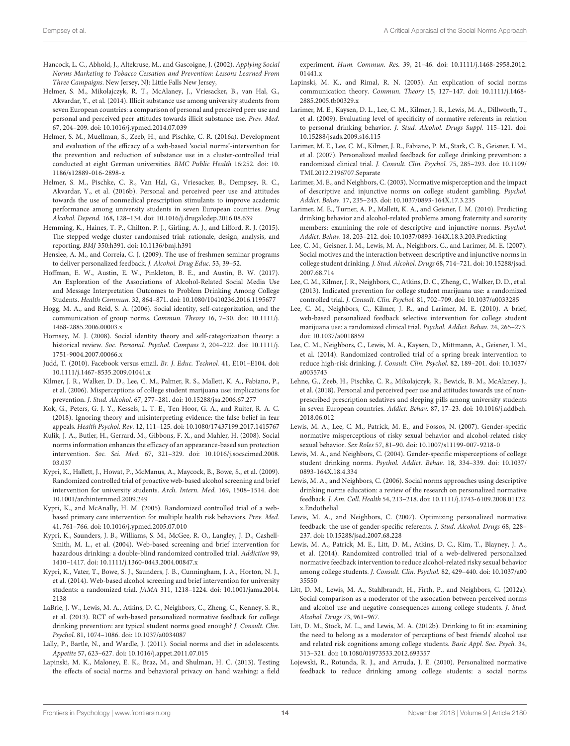- <span id="page-14-18"></span>Hancock, L. C., Abhold, J., Altekruse, M., and Gascoigne, J. (2002). Applying Social Norms Marketing to Tobacco Cessation and Prevention: Lessons Learned From Three Campaigns. New Jersey, NJ: Little Falls New Jersey,
- <span id="page-14-4"></span>Helmer, S. M., Mikolajczyk, R. T., McAlaney, J., Vriesacker, B., van Hal, G., Akvardar, Y., et al. (2014). Illicit substance use among university students from seven European countries: a comparison of personal and perceived peer use and personal and perceived peer attitudes towards illicit substance use. Prev. Med. 67, 204–209. [doi: 10.1016/j.ypmed.2014.07.039](https://doi.org/10.1016/j.ypmed.2014.07.039)
- <span id="page-14-17"></span>Helmer, S. M., Muellman, S., Zeeb, H., and Pischke, C. R. (2016a). Development and evaluation of the efficacy of a web-based 'social norms'-intervention for the prevention and reduction of substance use in a cluster-controlled trial conducted at eight German universities. BMC Public Health 16:252. [doi: 10.](https://doi.org/10.1186/s12889-016-2898-z) [1186/s12889-016-2898-z](https://doi.org/10.1186/s12889-016-2898-z)
- <span id="page-14-6"></span>Helmer, S. M., Pischke, C. R., Van Hal, G., Vriesacker, B., Dempsey, R. C., Akvardar, Y., et al. (2016b). Personal and perceived peer use and attitudes towards the use of nonmedical prescription stimulants to improve academic performance among university students in seven European countries. Drug Alcohol. Depend. 168, 128–134. [doi: 10.1016/j.drugalcdep.2016.08.639](https://doi.org/10.1016/j.drugalcdep.2016.08.639)
- <span id="page-14-35"></span>Hemming, K., Haines, T. P., Chilton, P. J., Girling, A. J., and Lilford, R. J. (2015). The stepped wedge cluster randomised trial: rationale, design, analysis, and reporting. BMJ 350:h391. [doi: 10.1136/bmj.h391](https://doi.org/10.1136/bmj.h391)
- <span id="page-14-34"></span>Henslee, A. M., and Correia, C. J. (2009). The use of freshmen seminar programs to deliver personalized feedback. J. Alcohol. Drug Educ. 53, 39–52.
- <span id="page-14-37"></span>Hoffman, E. W., Austin, E. W., Pinkleton, B. E., and Austin, B. W. (2017). An Exploration of the Associations of Alcohol-Related Social Media Use and Message Interpretation Outcomes to Problem Drinking Among College Students. Health Commun. 32, 864–871. [doi: 10.1080/10410236.2016.1195677](https://doi.org/10.1080/10410236.2016.1195677)
- <span id="page-14-0"></span>Hogg, M. A., and Reid, S. A. (2006). Social identity, self-categorization, and the communication of group norms. Commun. Theory 16, 7–30. [doi: 10.1111/j.](https://doi.org/10.1111/j.1468-2885.2006.00003.x) [1468-2885.2006.00003.x](https://doi.org/10.1111/j.1468-2885.2006.00003.x)
- <span id="page-14-25"></span>Hornsey, M. J. (2008). Social identity theory and self-categorization theory: a historical review. Soc. Personal. Psychol. Compass 2, 204–222. [doi: 10.1111/j.](https://doi.org/10.1111/j.1751-9004.2007.00066.x) [1751-9004.2007.00066.x](https://doi.org/10.1111/j.1751-9004.2007.00066.x)
- <span id="page-14-31"></span>Judd, T. (2010). Facebook versus email. Br. J. Educ. Technol. 41, E101–E104. [doi:](https://doi.org/10.1111/j.1467-8535.2009.01041.x) [10.1111/j.1467-8535.2009.01041.x](https://doi.org/10.1111/j.1467-8535.2009.01041.x)
- <span id="page-14-3"></span>Kilmer, J. R., Walker, D. D., Lee, C. M., Palmer, R. S., Mallett, K. A., Fabiano, P., et al. (2006). Misperceptions of college student marijuana use: implications for prevention. J. Stud. Alcohol. 67, 277–281. [doi: 10.15288/jsa.2006.67.277](https://doi.org/10.15288/jsa.2006.67.277)
- <span id="page-14-12"></span>Kok, G., Peters, G. J. Y., Kessels, L. T. E., Ten Hoor, G. A., and Ruiter, R. A. C. (2018). Ignoring theory and misinterpreting evidence: the false belief in fear appeals. Health Psychol. Rev. 12, 111–125. [doi: 10.1080/17437199.2017.1415767](https://doi.org/10.1080/17437199.2017.1415767)
- <span id="page-14-13"></span>Kulik, J. A., Butler, H., Gerrard, M., Gibbons, F. X., and Mahler, H. (2008). Social norms information enhances the efficacy of an appearance-based sun protection intervention. Soc. Sci. Med. 67, 321–329. [doi: 10.1016/j.socscimed.2008.](https://doi.org/10.1016/j.socscimed.2008.03.037) [03.037](https://doi.org/10.1016/j.socscimed.2008.03.037)
- <span id="page-14-11"></span>Kypri, K., Hallett, J., Howat, P., McManus, A., Maycock, B., Bowe, S., et al. (2009). Randomized controlled trial of proactive web-based alcohol screening and brief intervention for university students. Arch. Intern. Med. 169, 1508–1514. [doi:](https://doi.org/10.1001/archinternmed.2009.249) [10.1001/archinternmed.2009.249](https://doi.org/10.1001/archinternmed.2009.249)
- <span id="page-14-32"></span>Kypri, K., and McAnally, H. M. (2005). Randomized controlled trial of a webbased primary care intervention for multiple health risk behaviors. Prev. Med. 41, 761–766. [doi: 10.1016/j.ypmed.2005.07.010](https://doi.org/10.1016/j.ypmed.2005.07.010)
- <span id="page-14-10"></span>Kypri, K., Saunders, J. B., Williams, S. M., McGee, R. O., Langley, J. D., Cashell-Smith, M. L., et al. (2004). Web-based screening and brief intervention for hazardous drinking: a double-blind randomized controlled trial. Addiction 99, 1410–1417. [doi: 10.1111/j.1360-0443.2004.00847.x](https://doi.org/10.1111/j.1360-0443.2004.00847.x)
- <span id="page-14-33"></span>Kypri, K., Vater, T., Bowe, S. J., Saunders, J. B., Cunningham, J. A., Horton, N. J., et al. (2014). Web-based alcohol screening and brief intervention for university students: a randomized trial. JAMA 311, 1218–1224. [doi: 10.1001/jama.2014.](https://doi.org/10.1001/jama.2014.2138) [2138](https://doi.org/10.1001/jama.2014.2138)
- <span id="page-14-14"></span>LaBrie, J. W., Lewis, M. A., Atkins, D. C., Neighbors, C., Zheng, C., Kenney, S. R., et al. (2013). RCT of web-based personalized normative feedback for college drinking prevention: are typical student norms good enough? J. Consult. Clin. Psychol. 81, 1074–1086. [doi: 10.1037/a0034087](https://doi.org/10.1037/a0034087)
- <span id="page-14-5"></span>Lally, P., Bartle, N., and Wardle, J. (2011). Social norms and diet in adolescents. Appetite 57, 623–627. [doi: 10.1016/j.appet.2011.07.015](https://doi.org/10.1016/j.appet.2011.07.015)
- <span id="page-14-9"></span>Lapinski, M. K., Maloney, E. K., Braz, M., and Shulman, H. C. (2013). Testing the effects of social norms and behavioral privacy on hand washing: a field

experiment. Hum. Commun. Res. 39, 21–46. [doi: 10.1111/j.1468-2958.2012.](https://doi.org/10.1111/j.1468-2958.2012.01441.x) 01441<sub>x</sub>

- <span id="page-14-1"></span>Lapinski, M. K., and Rimal, R. N. (2005). An explication of social norms communication theory. Commun. Theory 15, 127–147. [doi: 10.1111/j.1468-](https://doi.org/10.1111/j.1468-2885.2005.tb00329.x) [2885.2005.tb00329.x](https://doi.org/10.1111/j.1468-2885.2005.tb00329.x)
- <span id="page-14-2"></span>Larimer, M. E., Kaysen, D. L., Lee, C. M., Kilmer, J. R., Lewis, M. A., Dillworth, T., et al. (2009). Evaluating level of specificity of normative referents in relation to personal drinking behavior. J. Stud. Alcohol. Drugs Suppl. 115–121. [doi:](https://doi.org/10.15288/jsads.2009.s16.115) [10.15288/jsads.2009.s16.115](https://doi.org/10.15288/jsads.2009.s16.115)
- <span id="page-14-20"></span>Larimer, M. E., Lee, C. M., Kilmer, J. R., Fabiano, P. M., Stark, C. B., Geisner, I. M., et al. (2007). Personalized mailed feedback for college drinking prevention: a randomized clinical trial. J. Consult. Clin. Psychol. 75, 285–293. [doi: 10.1109/](https://doi.org/10.1109/TMI.2012.2196707.Separate) [TMI.2012.2196707.Separate](https://doi.org/10.1109/TMI.2012.2196707.Separate)
- <span id="page-14-36"></span>Larimer, M. E., and Neighbors, C. (2003). Normative misperception and the impact of descriptive and injunctive norms on college student gambling. Psychol. Addict. Behav. 17, 235–243. [doi: 10.1037/0893-164X.17.3.235](https://doi.org/10.1037/0893-164X.17.3.235)
- <span id="page-14-29"></span>Larimer, M. E., Turner, A. P., Mallett, K. A., and Geisner, I. M. (2010). Predicting drinking behavior and alcohol-related problems among fraternity and sorority members: examining the role of descriptive and injunctive norms. Psychol. Addict. Behav. 18, 203–212. [doi: 10.1037/0893-164X.18.3.203.Predicting](https://doi.org/10.1037/0893-164X.18.3.203.Predicting)
- <span id="page-14-21"></span>Lee, C. M., Geisner, I. M., Lewis, M. A., Neighbors, C., and Larimer, M. E. (2007). Social motives and the interaction between descriptive and injunctive norms in college student drinking. J. Stud. Alcohol. Drugs 68, 714–721. [doi: 10.15288/jsad.](https://doi.org/10.15288/jsad.2007.68.714) [2007.68.714](https://doi.org/10.15288/jsad.2007.68.714)
- <span id="page-14-16"></span>Lee, C. M., Kilmer, J. R., Neighbors, C., Atkins, D. C., Zheng, C., Walker, D. D., et al. (2013). Indicated prevention for college student marijuana use: a randomized controlled trial. J. Consult. Clin. Psychol. 81, 702–709. [doi: 10.1037/a0033285](https://doi.org/10.1037/a0033285)
- <span id="page-14-15"></span>Lee, C. M., Neighbors, C., Kilmer, J. R., and Larimer, M. E. (2010). A brief, web-based personalized feedback selective intervention for college student marijuana use: a randomized clinical trial. Psychol. Addict. Behav. 24, 265–273. [doi: 10.1037/a0018859](https://doi.org/10.1037/a0018859)
- <span id="page-14-23"></span>Lee, C. M., Neighbors, C., Lewis, M. A., Kaysen, D., Mittmann, A., Geisner, I. M., et al. (2014). Randomized controlled trial of a spring break intervention to reduce high-risk drinking. J. Consult. Clin. Psychol. 82, 189–201. [doi: 10.1037/](https://doi.org/10.1037/a0035743) [a0035743](https://doi.org/10.1037/a0035743)
- <span id="page-14-7"></span>Lehne, G., Zeeb, H., Pischke, C. R., Mikolajczyk, R., Bewick, B. M., McAlaney, J., et al. (2018). Personal and perceived peer use and attitudes towards use of nonprescribed prescription sedatives and sleeping pills among university students in seven European countries. Addict. Behav. 87, 17–23. [doi: 10.1016/j.addbeh.](https://doi.org/10.1016/j.addbeh.2018.06.012) [2018.06.012](https://doi.org/10.1016/j.addbeh.2018.06.012)
- <span id="page-14-8"></span>Lewis, M. A., Lee, C. M., Patrick, M. E., and Fossos, N. (2007). Gender-specific normative misperceptions of risky sexual behavior and alcohol-related risky sexual behavior. Sex Roles 57, 81–90. [doi: 10.1007/s11199-007-9218-0](https://doi.org/10.1007/s11199-007-9218-0)
- <span id="page-14-26"></span>Lewis, M. A., and Neighbors, C. (2004). Gender-specific misperceptions of college student drinking norms. Psychol. Addict. Behav. 18, 334–339. [doi: 10.1037/](https://doi.org/10.1037/0893-164X.18.4.334) [0893-164X.18.4.334](https://doi.org/10.1037/0893-164X.18.4.334)
- <span id="page-14-22"></span>Lewis, M. A., and Neighbors, C. (2006). Social norms approaches using descriptive drinking norms education: a review of the research on personalized normative feedback. J. Am. Coll. Health 54, 213–218. [doi: 10.1111/j.1743-6109.2008.01122.](https://doi.org/10.1111/j.1743-6109.2008.01122.x.Endothelial) [x.Endothelial](https://doi.org/10.1111/j.1743-6109.2008.01122.x.Endothelial)
- <span id="page-14-24"></span>Lewis, M. A., and Neighbors, C. (2007). Optimizing personalized normative feedback: the use of gender-specific referents. J. Stud. Alcohol. Drugs 68, 228– 237. [doi: 10.15288/jsad.2007.68.228](https://doi.org/10.15288/jsad.2007.68.228)
- <span id="page-14-19"></span>Lewis, M. A., Patrick, M. E., Litt, D. M., Atkins, D. C., Kim, T., Blayney, J. A., et al. (2014). Randomized controlled trial of a web-delivered personalized normative feedback intervention to reduce alcohol-related risky sexual behavior among college students. J. Consult. Clin. Psychol. 82, 429–440. [doi: 10.1037/a00](https://doi.org/10.1037/a0035550) [35550](https://doi.org/10.1037/a0035550)
- <span id="page-14-27"></span>Litt, D. M., Lewis, M. A., Stahlbrandt, H., Firth, P., and Neighbors, C. (2012a). Social comparison as a moderator of the assocation between perceived norms and alcohol use and negative consequences among college students. J. Stud. Alcohol. Drugs 73, 961–967.
- <span id="page-14-28"></span>Litt, D. M., Stock, M. L., and Lewis, M. A. (2012b). Drinking to fit in: examining the need to belong as a moderator of perceptions of best friends' alcohol use and related risk cognitions among college students. Basic Appl. Soc. Psych. 34, 313–321. [doi: 10.1080/01973533.2012.693357](https://doi.org/10.1080/01973533.2012.693357)
- <span id="page-14-30"></span>Lojewski, R., Rotunda, R. J., and Arruda, J. E. (2010). Personalized normative feedback to reduce drinking among college students: a social norms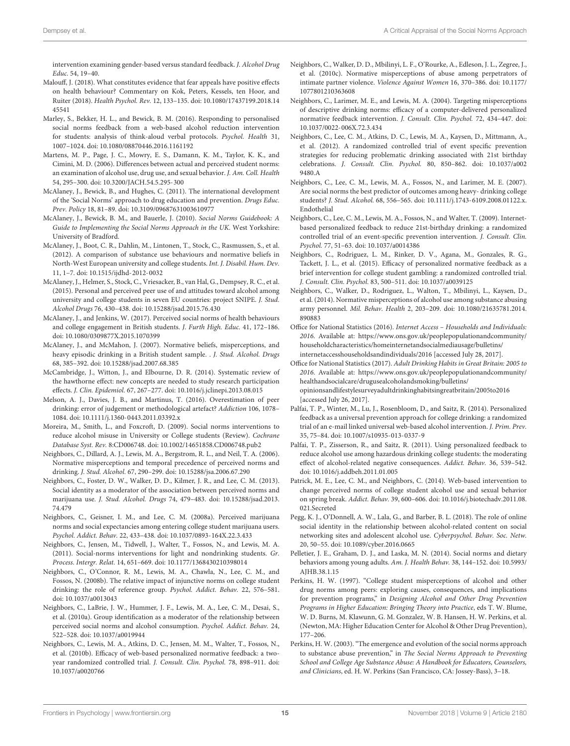intervention examining gender-based versus standard feedback. J. Alcohol Drug Educ. 54, 19–40.

- <span id="page-15-12"></span>Malouff, J. (2018). What constitutes evidence that fear appeals have positive effects on health behaviour? Commentary on Kok, Peters, Kessels, ten Hoor, and Ruiter (2018). Health Psychol. Rev. 12, 133–135. [doi: 10.1080/17437199.2018.14](https://doi.org/10.1080/17437199.2018.1445541) [45541](https://doi.org/10.1080/17437199.2018.1445541)
- <span id="page-15-26"></span>Marley, S., Bekker, H. L., and Bewick, B. M. (2016). Responding to personalised social norms feedback from a web-based alcohol reduction intervention for students: analysis of think-aloud verbal protocols. Psychol. Health 31, 1007–1024. [doi: 10.1080/08870446.2016.1161192](https://doi.org/10.1080/08870446.2016.1161192)
- <span id="page-15-7"></span>Martens, M. P., Page, J. C., Mowry, E. S., Damann, K. M., Taylor, K. K., and Cimini, M. D. (2006). Differences between actual and perceived student norms: an examination of alcohol use, drug use, and sexual behavior. J. Am. Coll. Health 54, 295–300. [doi: 10.3200/JACH.54.5.295-300](https://doi.org/10.3200/JACH.54.5.295-300)
- <span id="page-15-0"></span>McAlaney, J., Bewick, B., and Hughes, C. (2011). The international development of the 'Social Norms' approach to drug education and prevention. Drugs Educ. Prev. Policy 18, 81–89. [doi: 10.3109/09687631003610977](https://doi.org/10.3109/09687631003610977)
- <span id="page-15-6"></span>McAlaney, J., Bewick, B. M., and Bauerle, J. (2010). Social Norms Guidebook: A Guide to Implementing the Social Norms Approach in the UK. West Yorkshire: University of Bradford.
- <span id="page-15-4"></span>McAlaney, J., Boot, C. R., Dahlin, M., Lintonen, T., Stock, C., Rasmussen, S., et al. (2012). A comparison of substance use behaviours and normative beliefs in North-West European university and college students. Int. J. Disabil. Hum. Dev. 11, 1–7. [doi: 10.1515/ijdhd-2012-0032](https://doi.org/10.1515/ijdhd-2012-0032)
- <span id="page-15-5"></span>McAlaney, J., Helmer, S., Stock, C., Vriesacker, B., van Hal, G., Dempsey, R. C., et al. (2015). Personal and perceived peer use of and attitudes toward alcohol among university and college students in seven EU countries: project SNIPE. J. Stud. Alcohol Drugs 76, 430–438. [doi: 10.15288/jsad.2015.76.430](https://doi.org/10.15288/jsad.2015.76.430)
- <span id="page-15-10"></span>McAlaney, J., and Jenkins, W. (2017). Perceived social norms of health behaviours and college engagement in British students. J. Furth High. Educ. 41, 172–186. [doi: 10.1080/0309877X.2015.1070399](https://doi.org/10.1080/0309877X.2015.1070399)
- <span id="page-15-3"></span>McAlaney, J., and McMahon, J. (2007). Normative beliefs, misperceptions, and heavy episodic drinking in a British student sample. . J. Stud. Alcohol. Drugs 68, 385–392. [doi: 10.15288/jsad.2007.68.385](https://doi.org/10.15288/jsad.2007.68.385)
- <span id="page-15-27"></span>McCambridge, J., Witton, J., and Elbourne, D. R. (2014). Systematic review of the hawthorne effect: new concepts are needed to study research participation effects. J. Clin. Epidemiol. 67, 267–277. [doi: 10.1016/j.jclinepi.2013.08.015](https://doi.org/10.1016/j.jclinepi.2013.08.015)
- <span id="page-15-23"></span>Melson, A. J., Davies, J. B., and Martinus, T. (2016). Overestimation of peer drinking: error of judgement or methodological artefact? Addiction 106, 1078– 1084. [doi: 10.1111/j.1360-0443.2011.03392.x](https://doi.org/10.1111/j.1360-0443.2011.03392.x)
- <span id="page-15-24"></span>Moreira, M., Smith, L., and Foxcroft, D. (2009). Social norms interventions to reduce alcohol misuse in University or College students (Review). Cochrane Database Syst. Rev. 8:CD006748. [doi: 10.1002/14651858.CD006748.pub2](https://doi.org/10.1002/14651858.CD006748.pub2)
- <span id="page-15-2"></span>Neighbors, C., Dillard, A. J., Lewis, M. A., Bergstrom, R. L., and Neil, T. A. (2006). Normative misperceptions and temporal precedence of perceived norms and drinking. J. Stud. Alcohol. 67, 290–299. [doi: 10.15288/jsa.2006.67.290](https://doi.org/10.15288/jsa.2006.67.290)
- <span id="page-15-22"></span>Neighbors, C., Foster, D. W., Walker, D. D., Kilmer, J. R., and Lee, C. M. (2013). Social identity as a moderator of the association between perceived norms and marijuana use. J. Stud. Alcohol. Drugs 74, 479–483. [doi: 10.15288/jsad.2013.](https://doi.org/10.15288/jsad.2013.74.479) [74.479](https://doi.org/10.15288/jsad.2013.74.479)
- <span id="page-15-8"></span>Neighbors, C., Geisner, I. M., and Lee, C. M. (2008a). Perceived marijuana norms and social expectancies among entering college student marijuana users. Psychol. Addict. Behav. 22, 433–438. [doi: 10.1037/0893-164X.22.3.433](https://doi.org/10.1037/0893-164X.22.3.433)
- <span id="page-15-18"></span>Neighbors, C., Jensen, M., Tidwell, J., Walter, T., Fossos, N., and Lewis, M. A. (2011). Social-norms interventions for light and nondrinking students. Gr. Process. Intergr. Relat. 14, 651–669. [doi: 10.1177/1368430210398014](https://doi.org/10.1177/1368430210398014)
- <span id="page-15-21"></span>Neighbors, C., O'Connor, R. M., Lewis, M. A., Chawla, N., Lee, C. M., and Fossos, N. (2008b). The relative impact of injunctive norms on college student drinking: the role of reference group. Psychol. Addict. Behav. 22, 576–581. [doi: 10.1037/a0013043](https://doi.org/10.1037/a0013043)
- <span id="page-15-20"></span>Neighbors, C., LaBrie, J. W., Hummer, J. F., Lewis, M. A., Lee, C. M., Desai, S., et al. (2010a). Group identification as a moderator of the relationship between perceived social norms and alcohol consumption. Psychol. Addict. Behav. 24, 522–528. [doi: 10.1037/a0019944](https://doi.org/10.1037/a0019944)
- <span id="page-15-13"></span>Neighbors, C., Lewis, M. A., Atkins, D. C., Jensen, M. M., Walter, T., Fossos, N., et al. (2010b). Efficacy of web-based personalized normative feedback: a twoyear randomized controlled trial. J. Consult. Clin. Psychol. 78, 898–911. [doi:](https://doi.org/10.1037/a0020766) [10.1037/a0020766](https://doi.org/10.1037/a0020766)
- <span id="page-15-28"></span>Neighbors, C., Walker, D. D., Mbilinyi, L. F., O'Rourke, A., Edleson, J. L., Zegree, J., et al. (2010c). Normative misperceptions of abuse among perpetrators of intimate partner violence. Violence Against Women 16, 370–386. [doi: 10.1177/](https://doi.org/10.1177/1077801210363608) [1077801210363608](https://doi.org/10.1177/1077801210363608)
- <span id="page-15-19"></span>Neighbors, C., Larimer, M. E., and Lewis, M. A. (2004). Targeting misperceptions of descriptive drinking norms: efficacy of a computer-delivered personalized normative feedback intervention. J. Consult. Clin. Psychol. 72, 434–447. [doi:](https://doi.org/10.1037/0022-006X.72.3.434) [10.1037/0022-006X.72.3.434](https://doi.org/10.1037/0022-006X.72.3.434)
- <span id="page-15-14"></span>Neighbors, C., Lee, C. M., Atkins, D. C., Lewis, M. A., Kaysen, D., Mittmann, A., et al. (2012). A randomized controlled trial of event specific prevention strategies for reducing problematic drinking associated with 21st birthday celebrations. J. Consult. Clin. Psychol. 80, 850–862. [doi: 10.1037/a002](https://doi.org/10.1037/a0029480.A) [9480.A](https://doi.org/10.1037/a0029480.A)
- <span id="page-15-9"></span>Neighbors, C., Lee, C. M., Lewis, M. A., Fossos, N., and Larimer, M. E. (2007). Are social norms the best predictor of outcomes among heavy- drinking college students? J. Stud. Alcohol. 68, 556–565. [doi: 10.1111/j.1743-6109.2008.01122.x.](https://doi.org/10.1111/j.1743-6109.2008.01122.x.Endothelial) [Endothelial](https://doi.org/10.1111/j.1743-6109.2008.01122.x.Endothelial)
- <span id="page-15-15"></span>Neighbors, C., Lee, C. M., Lewis, M. A., Fossos, N., and Walter, T. (2009). Internetbased personalized feedback to reduce 21st-birthday drinking: a randomized controlled trial of an event-specific prevention intervention. J. Consult. Clin. Psychol. 77, 51–63. [doi: 10.1037/a0014386](https://doi.org/10.1037/a0014386)
- <span id="page-15-16"></span>Neighbors, C., Rodriguez, L. M., Rinker, D. V., Agana, M., Gonzales, R. G., Tackett, J. L., et al. (2015). Efficacy of personalized normative feedback as a brief intervention for college student gambling: a randomized controlled trial. J. Consult. Clin. Psychol. 83, 500–511. [doi: 10.1037/a0039125](https://doi.org/10.1037/a0039125)
- <span id="page-15-29"></span>Neighbors, C., Walker, D., Rodriguez, L., Walton, T., Mbilinyi, L., Kaysen, D., et al. (2014). Normative misperceptions of alcohol use among substance abusing army personnel. Mil. Behav. Health 2, 203–209. [doi: 10.1080/21635781.2014.](https://doi.org/10.1080/21635781.2014.890883) [890883](https://doi.org/10.1080/21635781.2014.890883)
- <span id="page-15-33"></span>Office for National Statistics (2016). Internet Access – Households and Individuals: 2016. Available at: [https://www.ons.gov.uk/peoplepopulationandcommunity/](https://www.ons.gov.uk/peoplepopulationandcommunity/householdcharacteristics/homeinternetandsocialmediausage/bulletins/internetaccesshouseholdsandindividuals/2016) [householdcharacteristics/homeinternetandsocialmediausage/bulletins/](https://www.ons.gov.uk/peoplepopulationandcommunity/householdcharacteristics/homeinternetandsocialmediausage/bulletins/internetaccesshouseholdsandindividuals/2016) [internetaccesshouseholdsandindividuals/2016](https://www.ons.gov.uk/peoplepopulationandcommunity/householdcharacteristics/homeinternetandsocialmediausage/bulletins/internetaccesshouseholdsandindividuals/2016) [accessed July 28, 2017].
- <span id="page-15-32"></span>Office for National Statistics (2017). Adult Drinking Habits in Great Britain: 2005 to 2016. Available at: [https://www.ons.gov.uk/peoplepopulationandcommunity/](https://www.ons.gov.uk/peoplepopulationandcommunity/healthandsocialcare/drugusealcoholandsmoking/bulletins/opinionsandlifestylesurveyadultdrinkinghabitsingreatbritain/2005to2016) [healthandsocialcare/drugusealcoholandsmoking/bulletins/](https://www.ons.gov.uk/peoplepopulationandcommunity/healthandsocialcare/drugusealcoholandsmoking/bulletins/opinionsandlifestylesurveyadultdrinkinghabitsingreatbritain/2005to2016) [opinionsandlifestylesurveyadultdrinkinghabitsingreatbritain/2005to2016](https://www.ons.gov.uk/peoplepopulationandcommunity/healthandsocialcare/drugusealcoholandsmoking/bulletins/opinionsandlifestylesurveyadultdrinkinghabitsingreatbritain/2005to2016) [accessed July 26, 2017].
- <span id="page-15-31"></span>Palfai, T. P., Winter, M., Lu, J., Rosenbloom, D., and Saitz, R. (2014). Personalized feedback as a universal prevention approach for college drinking: a randomized trial of an e-mail linked universal web-based alcohol intervention. J. Prim. Prev. 35, 75–84. [doi: 10.1007/s10935-013-0337-9](https://doi.org/10.1007/s10935-013-0337-9)
- <span id="page-15-25"></span>Palfai, T. P., Zisserson, R., and Saitz, R. (2011). Using personalized feedback to reduce alcohol use among hazardous drinking college students: the moderating effect of alcohol-related negative consequences. Addict. Behav. 36, 539–542. [doi: 10.1016/j.addbeh.2011.01.005](https://doi.org/10.1016/j.addbeh.2011.01.005)
- <span id="page-15-17"></span>Patrick, M. E., Lee, C. M., and Neighbors, C. (2014). Web-based intervention to change perceived norms of college student alcohol use and sexual behavior on spring break. Addict. Behav. 39, 600–606. [doi: 10.1016/j.biotechadv.2011.08.](https://doi.org/10.1016/j.biotechadv.2011.08.021.Secreted) [021.Secreted](https://doi.org/10.1016/j.biotechadv.2011.08.021.Secreted)
- <span id="page-15-34"></span>Pegg, K. J., O'Donnell, A. W., Lala, G., and Barber, B. L. (2018). The role of online social identity in the relationship between alcohol-related content on social networking sites and adolescent alcohol use. Cyberpsychol. Behav. Soc. Netw. 20, 50–55. [doi: 10.1089/cyber.2016.0665](https://doi.org/10.1089/cyber.2016.0665)
- <span id="page-15-30"></span>Pelletier, J. E., Graham, D. J., and Laska, M. N. (2014). Social norms and dietary behaviors among young adults. Am. J. Health Behav. 38, 144–152. [doi: 10.5993/](https://doi.org/10.5993/AJHB.38.1.15) [AJHB.38.1.15](https://doi.org/10.5993/AJHB.38.1.15)
- <span id="page-15-11"></span>Perkins, H. W. (1997). "College student misperceptions of alcohol and other drug norms among peers: exploring causes, consequences, and implications for prevention programs," in Designing Alcohol and Other Drug Prevention Programs in Higher Education: Bringing Theory into Practice, eds T. W. Blume, W. D. Burns, M. Klawunn, G. M. Gonzalez, W. B. Hansen, H. W. Perkins, et al. (Newton, MA: Higher Education Center for Alcohol & Other Drug Prevention), 177–206.
- <span id="page-15-1"></span>Perkins, H. W. (2003). "The emergence and evolution of the social norms approach to substance abuse prevention," in The Social Norms Approach to Preventing School and College Age Substance Abuse: A Handbook for Educators, Counselors, and Clinicians, ed. H. W. Perkins (San Francisco, CA: Jossey-Bass), 3–18.